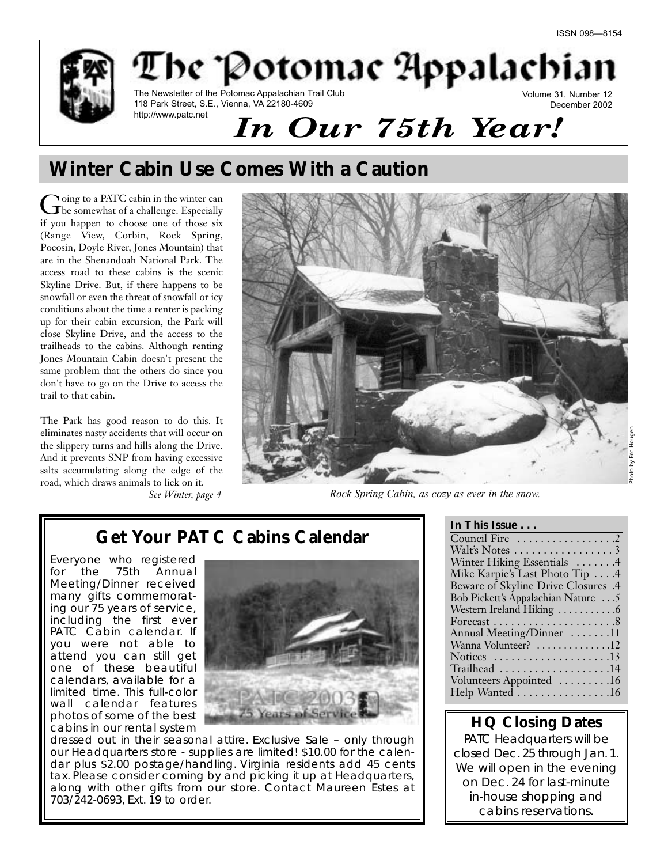

# **Winter Cabin Use Comes With a Caution**

Going to a PATC cabin in the winter can<br>the somewhat of a challenge. Especially if you happen to choose one of those six (Range View, Corbin, Rock Spring, Pocosin, Doyle River, Jones Mountain) that are in the Shenandoah National Park. The access road to these cabins is the scenic Skyline Drive. But, if there happens to be snowfall or even the threat of snowfall or icy conditions about the time a renter is packing up for their cabin excursion, the Park will close Skyline Drive, and the access to the trailheads to the cabins. Although renting Jones Mountain Cabin doesn't present the same problem that the others do since you don't have to go on the Drive to access the trail to that cabin.

The Park has good reason to do this. It eliminates nasty accidents that will occur on the slippery turns and hills along the Drive. And it prevents SNP from having excessive salts accumulating along the edge of the road, which draws animals to lick on it.



*See Winter, page 4 Rock Spring Cabin, as cozy as ever in the snow.*

# **Get Your PATC Cabins Calendar**

Everyone who registered for the 75th Annual Meeting/Dinner received many gifts commemorating our 75 years of service, including the first ever PATC Cabin calendar. If you were not able to attend you can still get one of these beautiful calendars, available for a limited time. This full-color wall calendar features photos of some of the best cabins in our rental system



dressed out in their seasonal attire. Exclusive Sale – only through our Headquarters store - supplies are limited! \$10.00 for the calendar plus \$2.00 postage/handling. Virginia residents add 45 cents tax. Please consider coming by and picking it up at Headquarters, along with other gifts from our store. Contact Maureen Estes at 703/242-0693, Ext. 19 to order.

# **HQ Closing Dates**

PATC Headquarters will be closed Dec. 25 through Jan. 1. We will open in the evening on Dec. 24 for last-minute in-house shopping and cabins reservations.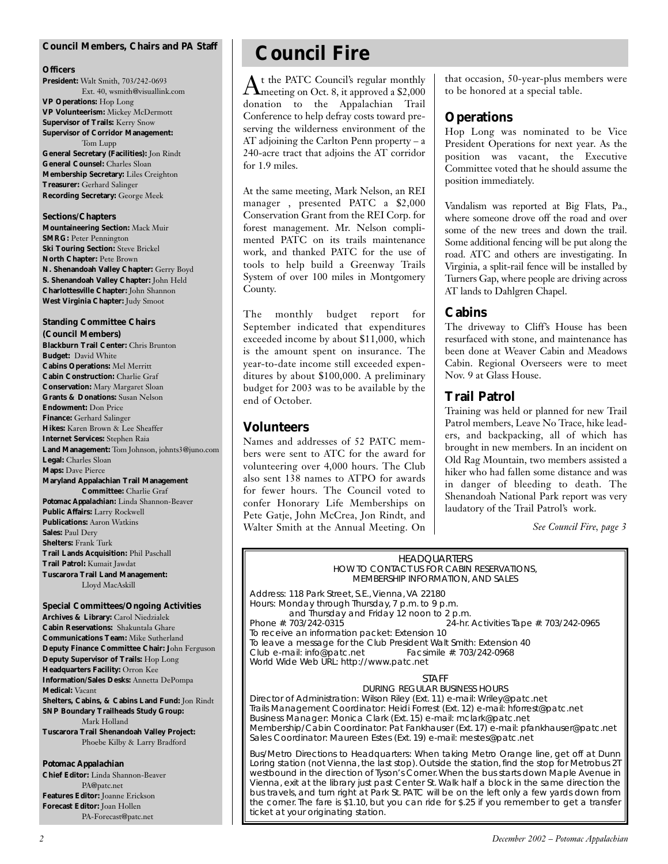#### **Council Members, Chairs and** *PA* **Staff**

#### **Officers**

**President:** Walt Smith, 703/242-0693 Ext. 40, wsmith@visuallink.com **VP Operations:** Hop Long **VP Volunteerism:** Mickey McDermott **Supervisor of Trails:** Kerry Snow **Supervisor of Corridor Management:** Tom Lupp **General Secretary (Facilities):** Jon Rindt **General Counsel:** Charles Sloan **Membership Secretary:** Liles Creighton **Treasurer:** Gerhard Salinger **Recording Secretary:** George Meek

#### **Sections/Chapters**

**Mountaineering Section:** Mack Muir **SMRG:** Peter Pennington **Ski Touring Section:** Steve Brickel **North Chapter:** Pete Brown **N. Shenandoah Valley Chapter:** Gerry Boyd **S. Shenandoah Valley Chapter:** John Held **Charlottesville Chapter:** John Shannon **West Virginia Chapter:** Judy Smoot

## **Standing Committee Chairs**

**(Council Members) Blackburn Trail Center:** Chris Brunton **Budget:** David White **Cabins Operations:** Mel Merritt **Cabin Construction:** Charlie Graf **Conservation:** Mary Margaret Sloan **Grants & Donations:** Susan Nelson **Endowment:** Don Price **Finance:** Gerhard Salinger **Hikes:** Karen Brown & Lee Sheaffer **Internet Services:** Stephen Raia **Land Management:** Tom Johnson, johnts3@juno.com **Legal:** Charles Sloan **Maps:** Dave Pierce **Maryland Appalachian Trail Management Committee:** Charlie Graf *Potomac Appalachian:* Linda Shannon-Beaver **Public Affairs:** Larry Rockwell **Publications:** Aaron Watkins **Sales:** Paul Dery **Shelters:** Frank Turk

**Trail Lands Acquisition:** Phil Paschall **Trail Patrol:** Kumait Jawdat **Tuscarora Trail Land Management:** Lloyd MacAskill

**Special Committees/Ongoing Activities Archives & Library:** Carol Niedzialek **Cabin Reservations:** Shakuntala Ghare **Communications Team:** Mike Sutherland **Deputy Finance Committee Chair: J**ohn Ferguson **Deputy Supervisor of Trails:** Hop Long **Headquarters Facility:** Orron Kee **Information/Sales Desks:** Annetta DePompa **Medical:** Vacant **Shelters, Cabins, & Cabins Land Fund:** Jon Rindt **SNP Boundary Trailheads Study Group:** Mark Holland **Tuscarora Trail Shenandoah Valley Project:** Phoebe Kilby & Larry Bradford

#### *Potomac Appalachian*

**Chief Editor:** Linda Shannon-Beaver PA@patc.net **Features Editor:** Joanne Erickson **Forecast Editor:** Joan Hollen PA-Forecast@patc.net

# **Council Fire**

 $\rm A$ t the PATC Council's regular monthly<br>meeting on Oct. 8, it approved a \$2,000 donation to the Appalachian Trail Conference to help defray costs toward preserving the wilderness environment of the AT adjoining the Carlton Penn property – a 240-acre tract that adjoins the AT corridor for 1.9 miles.

At the same meeting, Mark Nelson, an REI manager , presented PATC a \$2,000 Conservation Grant from the REI Corp. for forest management. Mr. Nelson complimented PATC on its trails maintenance work, and thanked PATC for the use of tools to help build a Greenway Trails System of over 100 miles in Montgomery County.

The monthly budget report for September indicated that expenditures exceeded income by about \$11,000, which is the amount spent on insurance. The year-to-date income still exceeded expenditures by about \$100,000. A preliminary budget for 2003 was to be available by the end of October.

### **Volunteers**

Names and addresses of 52 PATC members were sent to ATC for the award for volunteering over 4,000 hours. The Club also sent 138 names to ATPO for awards for fewer hours. The Council voted to confer Honorary Life Memberships on Pete Gatje, John McCrea, Jon Rindt, and Walter Smith at the Annual Meeting. On that occasion, 50-year-plus members were to be honored at a special table.

### **Operations**

Hop Long was nominated to be Vice President Operations for next year. As the position was vacant, the Executive Committee voted that he should assume the position immediately.

Vandalism was reported at Big Flats, Pa., where someone drove off the road and over some of the new trees and down the trail. Some additional fencing will be put along the road. ATC and others are investigating. In Virginia, a split-rail fence will be installed by Turners Gap, where people are driving across AT lands to Dahlgren Chapel.

### **Cabins**

The driveway to Cliff's House has been resurfaced with stone, and maintenance has been done at Weaver Cabin and Meadows Cabin. Regional Overseers were to meet Nov. 9 at Glass House.

### **Trail Patrol**

Training was held or planned for new Trail Patrol members, Leave No Trace, hike leaders, and backpacking, all of which has brought in new members. In an incident on Old Rag Mountain, two members assisted a hiker who had fallen some distance and was in danger of bleeding to death. The Shenandoah National Park report was very laudatory of the Trail Patrol's work.

*See Council Fire, page 3*

#### HEADQUARTERS HOW TO CONTACT US FOR CABIN RESERVATIONS, MEMBERSHIP INFORMATION, AND SALES

Address: 118 Park Street, S.E., Vienna, VA 22180 Hours: Monday through Thursday, 7 p.m. to 9 p.m. and Thursday and Friday 12 noon to 2 p.m.<br>Phone #: 703/242-0315 24-hr. 24-hr. Activities Tape #: 703/242-0965 To receive an information packet: Extension 10 To leave a message for the Club President Walt Smith: Extension 40<br>Club e-mail: info@patc.net Facsimile #: 703/242-0968 Club e-mail: info@patc.net World Wide Web URL: http://www.patc.net

#### STAFF

DURING REGULAR BUSINESS HOURS Director of Administration: Wilson Riley (Ext. 11) e-mail: Wriley@patc.net Trails Management Coordinator: Heidi Forrest (Ext. 12) e-mail: hforrest@patc.net Business Manager: Monica Clark (Ext. 15) e-mail: mclark@patc.net Membership/Cabin Coordinator: Pat Fankhauser (Ext. 17) e-mail: pfankhauser@patc.net Sales Coordinator: Maureen Estes (Ext. 19) e-mail: mestes@patc.net

Bus/Metro Directions to Headquarters: When taking Metro Orange line, get off at Dunn Loring station (not Vienna, the last stop). Outside the station, find the stop for Metrobus 2T westbound in the direction of Tyson's Corner.When the bus starts down Maple Avenue in Vienna, exit at the library just past Center St. Walk half a block in the same direction the bus travels, and turn right at Park St. PATC will be on the left only a few yards down from the corner. The fare is \$1.10, but you can ride for \$.25 if you remember to get a transfer ticket at your originating station.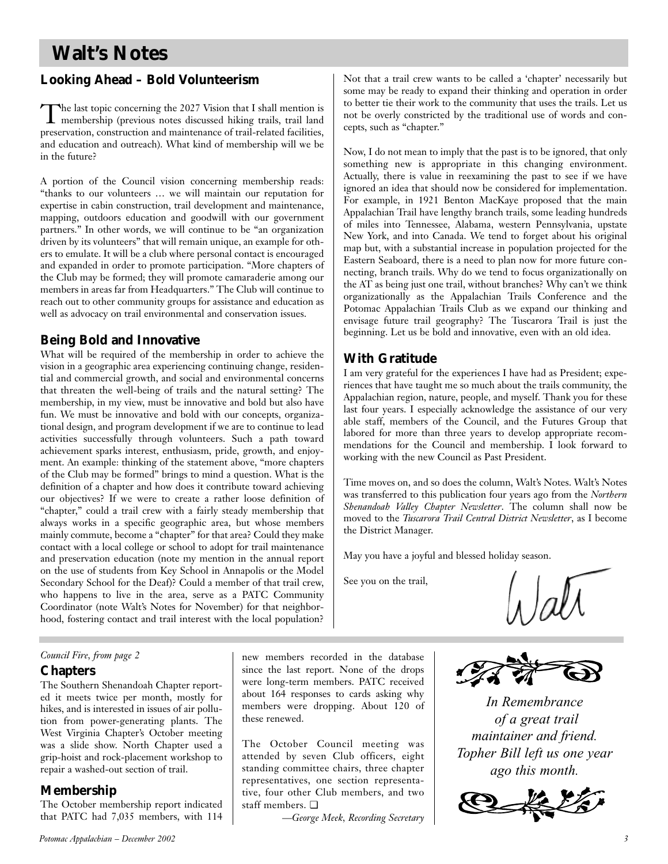# **Walt's Notes**

# **Looking Ahead – Bold Volunteerism**

The last topic concerning the 2027 Vision that I shall mention is membership (previous notes discussed hiking trails, trail land preservation, construction and maintenance of trail-related facilities, and education and outreach). What kind of membership will we be in the future?

A portion of the Council vision concerning membership reads: "thanks to our volunteers … we will maintain our reputation for expertise in cabin construction, trail development and maintenance, mapping, outdoors education and goodwill with our government partners." In other words, we will continue to be "an organization driven by its volunteers" that will remain unique, an example for others to emulate. It will be a club where personal contact is encouraged and expanded in order to promote participation. "More chapters of the Club may be formed; they will promote camaraderie among our members in areas far from Headquarters." The Club will continue to reach out to other community groups for assistance and education as well as advocacy on trail environmental and conservation issues.

### **Being Bold and Innovative**

What will be required of the membership in order to achieve the vision in a geographic area experiencing continuing change, residential and commercial growth, and social and environmental concerns that threaten the well-being of trails and the natural setting? The membership, in my view, must be innovative and bold but also have fun. We must be innovative and bold with our concepts, organizational design, and program development if we are to continue to lead activities successfully through volunteers. Such a path toward achievement sparks interest, enthusiasm, pride, growth, and enjoyment. An example: thinking of the statement above, "more chapters of the Club may be formed" brings to mind a question. What is the definition of a chapter and how does it contribute toward achieving our objectives? If we were to create a rather loose definition of "chapter," could a trail crew with a fairly steady membership that always works in a specific geographic area, but whose members mainly commute, become a "chapter" for that area? Could they make contact with a local college or school to adopt for trail maintenance and preservation education (note my mention in the annual report on the use of students from Key School in Annapolis or the Model Secondary School for the Deaf)? Could a member of that trail crew, who happens to live in the area, serve as a PATC Community Coordinator (note Walt's Notes for November) for that neighborhood, fostering contact and trail interest with the local population?

Not that a trail crew wants to be called a 'chapter' necessarily but some may be ready to expand their thinking and operation in order to better tie their work to the community that uses the trails. Let us not be overly constricted by the traditional use of words and concepts, such as "chapter."

Now, I do not mean to imply that the past is to be ignored, that only something new is appropriate in this changing environment. Actually, there is value in reexamining the past to see if we have ignored an idea that should now be considered for implementation. For example, in 1921 Benton MacKaye proposed that the main Appalachian Trail have lengthy branch trails, some leading hundreds of miles into Tennessee, Alabama, western Pennsylvania, upstate New York, and into Canada. We tend to forget about his original map but, with a substantial increase in population projected for the Eastern Seaboard, there is a need to plan now for more future connecting, branch trails. Why do we tend to focus organizationally on the AT as being just one trail, without branches? Why can't we think organizationally as the Appalachian Trails Conference and the Potomac Appalachian Trails Club as we expand our thinking and envisage future trail geography? The Tuscarora Trail is just the beginning. Let us be bold and innovative, even with an old idea.

## **With Gratitude**

I am very grateful for the experiences I have had as President; experiences that have taught me so much about the trails community, the Appalachian region, nature, people, and myself. Thank you for these last four years. I especially acknowledge the assistance of our very able staff, members of the Council, and the Futures Group that labored for more than three years to develop appropriate recommendations for the Council and membership. I look forward to working with the new Council as Past President.

Time moves on, and so does the column, Walt's Notes. Walt's Notes was transferred to this publication four years ago from the *Northern Shenandoah Valley Chapter Newsletter*. The column shall now be moved to the *Tuscarora Trail Central District Newsletter*, as I become the District Manager.

May you have a joyful and blessed holiday season.

See you on the trail,

### *Council Fire, from page 2*

### **Chapters**

The Southern Shenandoah Chapter reported it meets twice per month, mostly for hikes, and is interested in issues of air pollution from power-generating plants. The West Virginia Chapter's October meeting was a slide show. North Chapter used a grip-hoist and rock-placement workshop to repair a washed-out section of trail.

## **Membership**

The October membership report indicated that PATC had 7,035 members, with 114 new members recorded in the database since the last report. None of the drops were long-term members. PATC received about 164 responses to cards asking why members were dropping. About 120 of these renewed.

The October Council meeting was attended by seven Club officers, eight standing committee chairs, three chapter representatives, one section representative, four other Club members, and two staff members. ❏

*—George Meek, Recording Secretary*



*In Remembrance of a great trail maintainer and friend. Topher Bill left us one year ago this month.*

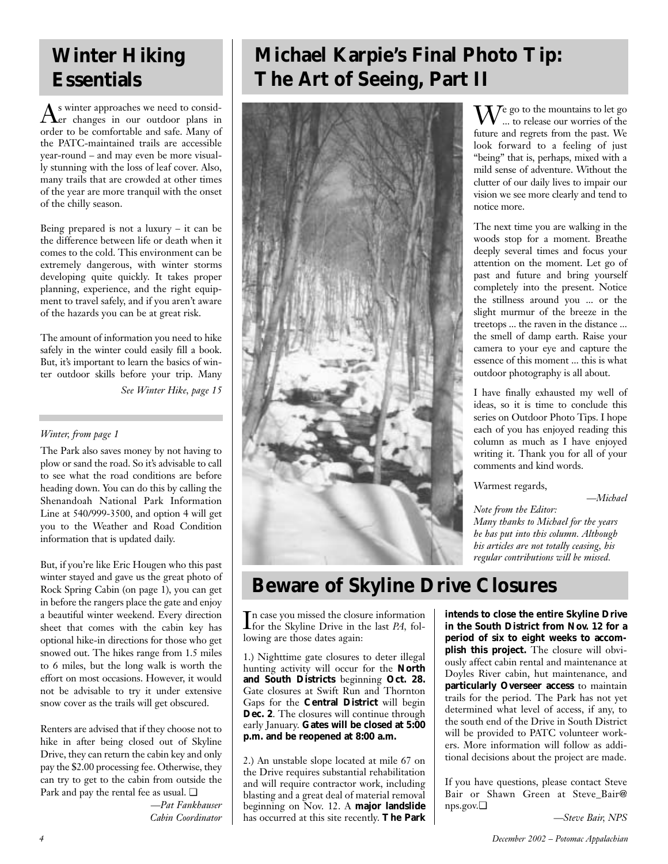# **Winter Hiking Essentials**

As winter approaches we need to consid-er changes in our outdoor plans in order to be comfortable and safe. Many of the PATC-maintained trails are accessible year-round – and may even be more visually stunning with the loss of leaf cover. Also, many trails that are crowded at other times of the year are more tranquil with the onset of the chilly season.

Being prepared is not a luxury – it can be the difference between life or death when it comes to the cold. This environment can be extremely dangerous, with winter storms developing quite quickly. It takes proper planning, experience, and the right equipment to travel safely, and if you aren't aware of the hazards you can be at great risk.

The amount of information you need to hike safely in the winter could easily fill a book. But, it's important to learn the basics of winter outdoor skills before your trip. Many

*See Winter Hike, page 15*

### *Winter, from page 1*

The Park also saves money by not having to plow or sand the road. So it's advisable to call to see what the road conditions are before heading down. You can do this by calling the Shenandoah National Park Information Line at 540/999-3500, and option 4 will get you to the Weather and Road Condition information that is updated daily.

But, if you're like Eric Hougen who this past winter stayed and gave us the great photo of Rock Spring Cabin (on page 1), you can get in before the rangers place the gate and enjoy a beautiful winter weekend. Every direction sheet that comes with the cabin key has optional hike-in directions for those who get snowed out. The hikes range from 1.5 miles to 6 miles, but the long walk is worth the effort on most occasions. However, it would not be advisable to try it under extensive snow cover as the trails will get obscured.

Renters are advised that if they choose not to hike in after being closed out of Skyline Drive, they can return the cabin key and only pay the \$2.00 processing fee. Otherwise, they can try to get to the cabin from outside the Park and pay the rental fee as usual. ❏

> *—Pat Fankhauser Cabin Coordinator*

# **Michael Karpie's Final Photo Tip: The Art of Seeing, Part II**



 $\mathrm{W}^{\mathrm{e}}$  go to the mountains to let go ... to release our worries of the future and regrets from the past. We look forward to a feeling of just "being" that is, perhaps, mixed with a mild sense of adventure. Without the clutter of our daily lives to impair our vision we see more clearly and tend to notice more.

The next time you are walking in the woods stop for a moment. Breathe deeply several times and focus your attention on the moment. Let go of past and future and bring yourself completely into the present. Notice the stillness around you ... or the slight murmur of the breeze in the treetops ... the raven in the distance ... the smell of damp earth. Raise your camera to your eye and capture the essence of this moment ... this is what outdoor photography is all about.

I have finally exhausted my well of ideas, so it is time to conclude this series on Outdoor Photo Tips. I hope each of you has enjoyed reading this column as much as I have enjoyed writing it. Thank you for all of your comments and kind words.

Warmest regards,

*—Michael*

*Note from the Editor: Many thanks to Michael for the years he has put into this column. Although his articles are not totally ceasing, his regular contributions will be missed.*

# **Beware of Skyline Drive Closures**

 $\prod$ n case you missed the closure information<br>for the Skyline Drive in the last  $PA$ , folfor the Skyline Drive in the last *PA,* following are those dates again:

1.) Nighttime gate closures to deter illegal hunting activity will occur for the **North and South Districts** beginning **Oct. 28.** Gate closures at Swift Run and Thornton Gaps for the **Central District** will begin **Dec. 2**. The closures will continue through early January. **Gates will be closed at 5:00 p.m. and be reopened at 8:00 a.m.** 

2.) An unstable slope located at mile 67 on the Drive requires substantial rehabilitation and will require contractor work, including blasting and a great deal of material removal beginning on Nov. 12. A **major landslide** has occurred at this site recently. **The Park** **intends to close the entire Skyline Drive in the South District from Nov. 12 for a period of six to eight weeks to accomplish this project.** The closure will obviously affect cabin rental and maintenance at Doyles River cabin, hut maintenance, and **particularly Overseer access** to maintain trails for the period. The Park has not yet determined what level of access, if any, to the south end of the Drive in South District will be provided to PATC volunteer workers. More information will follow as additional decisions about the project are made.

If you have questions, please contact Steve Bair or Shawn Green at Steve Bair@ nps.gov.❏

*—Steve Bair, NPS*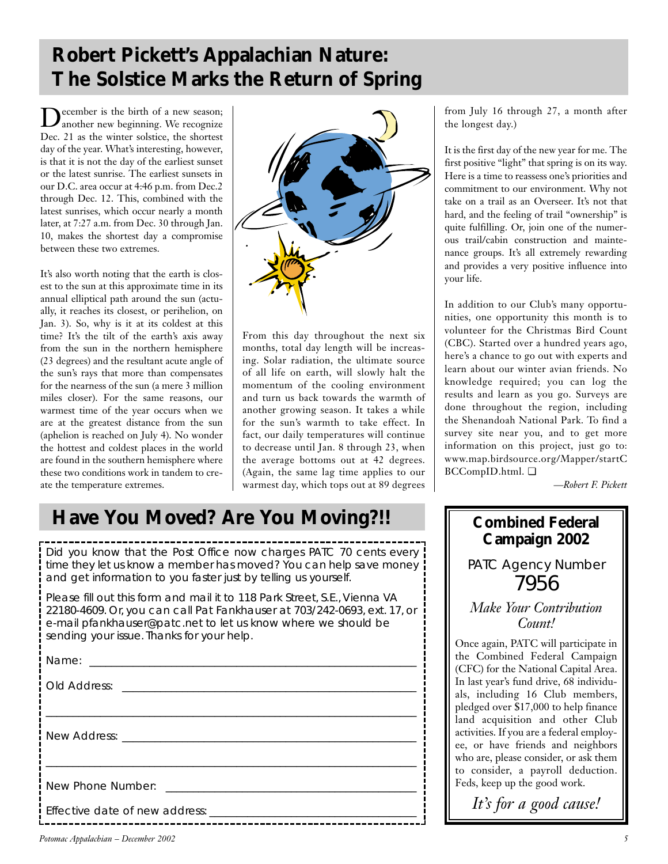# **Robert Pickett's Appalachian Nature: The Solstice Marks the Return of Spring**

December is the birth of a new season; another new beginning. We recognize Dec. 21 as the winter solstice, the shortest day of the year. What's interesting, however, is that it is not the day of the earliest sunset or the latest sunrise. The earliest sunsets in our D.C. area occur at 4:46 p.m. from Dec.2 through Dec. 12. This, combined with the latest sunrises, which occur nearly a month later, at 7:27 a.m. from Dec. 30 through Jan. 10, makes the shortest day a compromise between these two extremes.

It's also worth noting that the earth is closest to the sun at this approximate time in its annual elliptical path around the sun (actually, it reaches its closest, or perihelion, on Jan. 3). So, why is it at its coldest at this time? It's the tilt of the earth's axis away from the sun in the northern hemisphere (23 degrees) and the resultant acute angle of the sun's rays that more than compensates for the nearness of the sun (a mere 3 million miles closer). For the same reasons, our warmest time of the year occurs when we are at the greatest distance from the sun (aphelion is reached on July 4). No wonder the hottest and coldest places in the world are found in the southern hemisphere where these two conditions work in tandem to create the temperature extremes.



From this day throughout the next six months, total day length will be increasing. Solar radiation, the ultimate source of all life on earth, will slowly halt the momentum of the cooling environment and turn us back towards the warmth of another growing season. It takes a while for the sun's warmth to take effect. In fact, our daily temperatures will continue to decrease until Jan. 8 through 23, when the average bottoms out at 42 degrees. (Again, the same lag time applies to our warmest day, which tops out at 89 degrees

# **Have You Moved? Are You Moving?!!**

Did you know that the Post Office now charges PATC 70 cents every time they let us know a member has moved? You can help save money and get information to you faster just by telling us yourself.

Please fill out this form and mail it to 118 Park Street, S.E., Vienna VA 22180-4609. Or, you can call Pat Fankhauser at 703/242-0693, ext. 17, or e-mail pfankhauser@patc.net to let us know where we should be sending your issue. Thanks for your help.

| New Phone Number: <u>New York Charles and the set of the set of the set of the set of the set of the set of the set of the set of the set of the set of the set of the set of the set of the set of the set of the set of the se</u> |  |
|--------------------------------------------------------------------------------------------------------------------------------------------------------------------------------------------------------------------------------------|--|
|                                                                                                                                                                                                                                      |  |

from July 16 through 27, a month after the longest day.)

It is the first day of the new year for me. The first positive "light" that spring is on its way. Here is a time to reassess one's priorities and commitment to our environment. Why not take on a trail as an Overseer. It's not that hard, and the feeling of trail "ownership" is quite fulfilling. Or, join one of the numerous trail/cabin construction and maintenance groups. It's all extremely rewarding and provides a very positive influence into your life.

In addition to our Club's many opportunities, one opportunity this month is to volunteer for the Christmas Bird Count (CBC). Started over a hundred years ago, here's a chance to go out with experts and learn about our winter avian friends. No knowledge required; you can log the results and learn as you go. Surveys are done throughout the region, including the Shenandoah National Park. To find a survey site near you, and to get more information on this project, just go to: www.map.birdsource.org/Mapper/startC BCCompID.html. ❏

*—Robert F. Pickett*

# **Combined Federal Campaign 2002**

PATC Agency Number 7956

*Make Your Contribution Count!*

Once again, PATC will participate in the Combined Federal Campaign (CFC) for the National Capital Area. In last year's fund drive, 68 individuals, including 16 Club members, pledged over \$17,000 to help finance land acquisition and other Club activities. If you are a federal employee, or have friends and neighbors who are, please consider, or ask them to consider, a payroll deduction. Feds, keep up the good work.

*It's for a good cause!*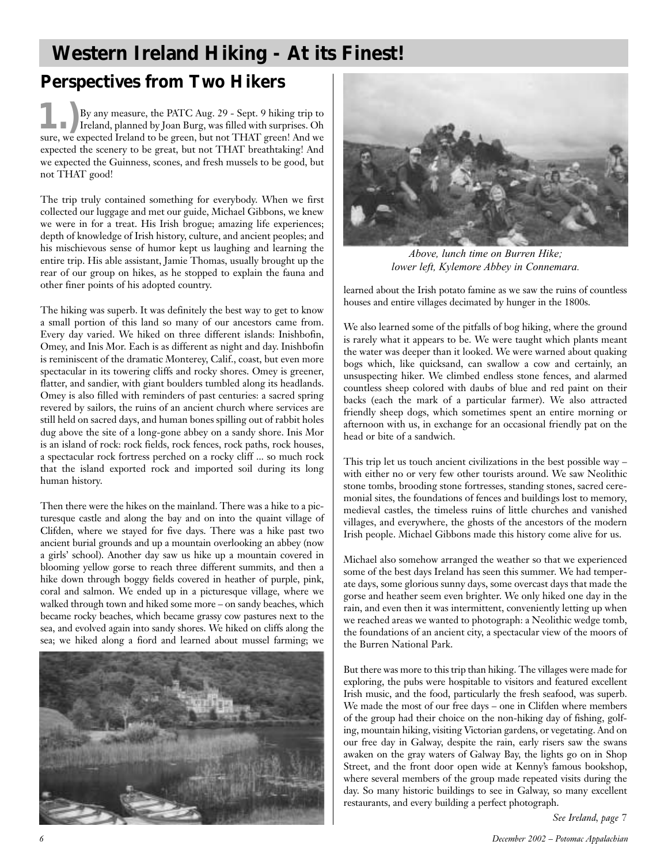# **Western Ireland Hiking - At its Finest!**

# **Perspectives from Two Hikers**

**1.)**By any measure, the PATC Aug. 29 - Sept. 9 hiking trip to Ireland, planned by Joan Burg, was filled with surprises. Oh sure, we expected Ireland to be green, but not THAT green! And we expected the scenery to be great, but not THAT breathtaking! And we expected the Guinness, scones, and fresh mussels to be good, but not THAT good!

The trip truly contained something for everybody. When we first collected our luggage and met our guide, Michael Gibbons, we knew we were in for a treat. His Irish brogue; amazing life experiences; depth of knowledge of Irish history, culture, and ancient peoples; and his mischievous sense of humor kept us laughing and learning the entire trip. His able assistant, Jamie Thomas, usually brought up the rear of our group on hikes, as he stopped to explain the fauna and other finer points of his adopted country.

The hiking was superb. It was definitely the best way to get to know a small portion of this land so many of our ancestors came from. Every day varied. We hiked on three different islands: Inishbofin, Omey, and Inis Mor. Each is as different as night and day. Inishbofin is reminiscent of the dramatic Monterey, Calif., coast, but even more spectacular in its towering cliffs and rocky shores. Omey is greener, flatter, and sandier, with giant boulders tumbled along its headlands. Omey is also filled with reminders of past centuries: a sacred spring revered by sailors, the ruins of an ancient church where services are still held on sacred days, and human bones spilling out of rabbit holes dug above the site of a long-gone abbey on a sandy shore. Inis Mor is an island of rock: rock fields, rock fences, rock paths, rock houses, a spectacular rock fortress perched on a rocky cliff ... so much rock that the island exported rock and imported soil during its long human history.

Then there were the hikes on the mainland. There was a hike to a picturesque castle and along the bay and on into the quaint village of Clifden, where we stayed for five days. There was a hike past two ancient burial grounds and up a mountain overlooking an abbey (now a girls' school). Another day saw us hike up a mountain covered in blooming yellow gorse to reach three different summits, and then a hike down through boggy fields covered in heather of purple, pink, coral and salmon. We ended up in a picturesque village, where we walked through town and hiked some more – on sandy beaches, which became rocky beaches, which became grassy cow pastures next to the sea, and evolved again into sandy shores. We hiked on cliffs along the sea; we hiked along a fiord and learned about mussel farming; we





*Above, lunch time on Burren Hike; lower left, Kylemore Abbey in Connemara.*

learned about the Irish potato famine as we saw the ruins of countless houses and entire villages decimated by hunger in the 1800s.

We also learned some of the pitfalls of bog hiking, where the ground is rarely what it appears to be. We were taught which plants meant the water was deeper than it looked. We were warned about quaking bogs which, like quicksand, can swallow a cow and certainly, an unsuspecting hiker. We climbed endless stone fences, and alarmed countless sheep colored with daubs of blue and red paint on their backs (each the mark of a particular farmer). We also attracted friendly sheep dogs, which sometimes spent an entire morning or afternoon with us, in exchange for an occasional friendly pat on the head or bite of a sandwich.

This trip let us touch ancient civilizations in the best possible way – with either no or very few other tourists around. We saw Neolithic stone tombs, brooding stone fortresses, standing stones, sacred ceremonial sites, the foundations of fences and buildings lost to memory, medieval castles, the timeless ruins of little churches and vanished villages, and everywhere, the ghosts of the ancestors of the modern Irish people. Michael Gibbons made this history come alive for us.

Michael also somehow arranged the weather so that we experienced some of the best days Ireland has seen this summer. We had temperate days, some glorious sunny days, some overcast days that made the gorse and heather seem even brighter. We only hiked one day in the rain, and even then it was intermittent, conveniently letting up when we reached areas we wanted to photograph: a Neolithic wedge tomb, the foundations of an ancient city, a spectacular view of the moors of the Burren National Park.

But there was more to this trip than hiking. The villages were made for exploring, the pubs were hospitable to visitors and featured excellent Irish music, and the food, particularly the fresh seafood, was superb. We made the most of our free days – one in Clifden where members of the group had their choice on the non-hiking day of fishing, golfing, mountain hiking, visiting Victorian gardens, or vegetating. And on our free day in Galway, despite the rain, early risers saw the swans awaken on the gray waters of Galway Bay, the lights go on in Shop Street, and the front door open wide at Kenny's famous bookshop, where several members of the group made repeated visits during the day. So many historic buildings to see in Galway, so many excellent restaurants, and every building a perfect photograph.

*See Ireland, page 7*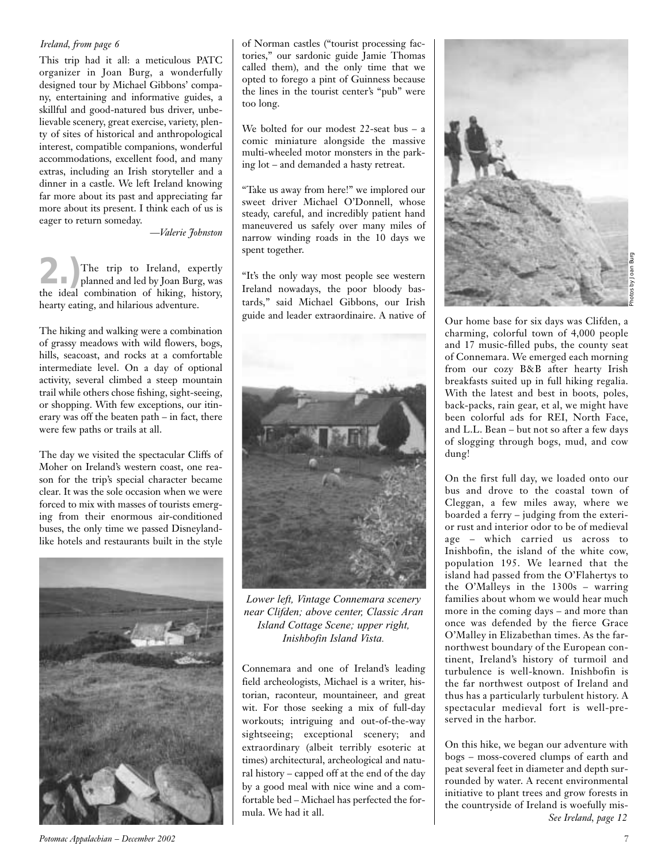#### *Ireland, from page 6*

This trip had it all: a meticulous PATC organizer in Joan Burg, a wonderfully designed tour by Michael Gibbons' company, entertaining and informative guides, a skillful and good-natured bus driver, unbelievable scenery, great exercise, variety, plenty of sites of historical and anthropological interest, compatible companions, wonderful accommodations, excellent food, and many extras, including an Irish storyteller and a dinner in a castle. We left Ireland knowing far more about its past and appreciating far more about its present. I think each of us is eager to return someday.

*—Valerie Johnston*

The trip to Ireland, expertly<br>
planned and led by Joan Burg, was<br>
the ideal combination of hilting history the ideal combination of hiking, history, hearty eating, and hilarious adventure.

The hiking and walking were a combination of grassy meadows with wild flowers, bogs, hills, seacoast, and rocks at a comfortable intermediate level. On a day of optional activity, several climbed a steep mountain trail while others chose fishing, sight-seeing, or shopping. With few exceptions, our itinerary was off the beaten path – in fact, there were few paths or trails at all.

The day we visited the spectacular Cliffs of Moher on Ireland's western coast, one reason for the trip's special character became clear. It was the sole occasion when we were forced to mix with masses of tourists emerging from their enormous air-conditioned buses, the only time we passed Disneylandlike hotels and restaurants built in the style



of Norman castles ("tourist processing factories," our sardonic guide Jamie Thomas called them), and the only time that we opted to forego a pint of Guinness because the lines in the tourist center's "pub" were too long.

We bolted for our modest 22-seat bus – a comic miniature alongside the massive multi-wheeled motor monsters in the parking lot – and demanded a hasty retreat.

"Take us away from here!" we implored our sweet driver Michael O'Donnell, whose steady, careful, and incredibly patient hand maneuvered us safely over many miles of narrow winding roads in the 10 days we spent together.

"It's the only way most people see western Ireland nowadays, the poor bloody bastards," said Michael Gibbons, our Irish guide and leader extraordinaire. A native of



*Lower left, Vintage Connemara scenery near Clifden; above center, Classic Aran Island Cottage Scene; upper right, Inishbofin Island Vista.*

Connemara and one of Ireland's leading field archeologists, Michael is a writer, historian, raconteur, mountaineer, and great wit. For those seeking a mix of full-day workouts; intriguing and out-of-the-way sightseeing; exceptional scenery; and extraordinary (albeit terribly esoteric at times) architectural, archeological and natural history – capped off at the end of the day by a good meal with nice wine and a comfortable bed – Michael has perfected the formula. We had it all.



Our home base for six days was Clifden, a charming, colorful town of 4,000 people and 17 music-filled pubs, the county seat of Connemara. We emerged each morning from our cozy B&B after hearty Irish breakfasts suited up in full hiking regalia. With the latest and best in boots, poles, back-packs, rain gear, et al, we might have been colorful ads for REI, North Face, and L.L. Bean – but not so after a few days of slogging through bogs, mud, and cow dung!

On the first full day, we loaded onto our bus and drove to the coastal town of Cleggan, a few miles away, where we boarded a ferry – judging from the exterior rust and interior odor to be of medieval age – which carried us across to Inishbofin, the island of the white cow, population 195. We learned that the island had passed from the O'Flahertys to the O'Malleys in the 1300s – warring families about whom we would hear much more in the coming days – and more than once was defended by the fierce Grace O'Malley in Elizabethan times. As the farnorthwest boundary of the European continent, Ireland's history of turmoil and turbulence is well-known. Inishbofin is the far northwest outpost of Ireland and thus has a particularly turbulent history. A spectacular medieval fort is well-preserved in the harbor.

On this hike, we began our adventure with bogs – moss-covered clumps of earth and peat several feet in diameter and depth surrounded by water. A recent environmental initiative to plant trees and grow forests in the countryside of Ireland is woefully mis-*See Ireland, page 12*

*Potomac Appalachian – December 2002 7*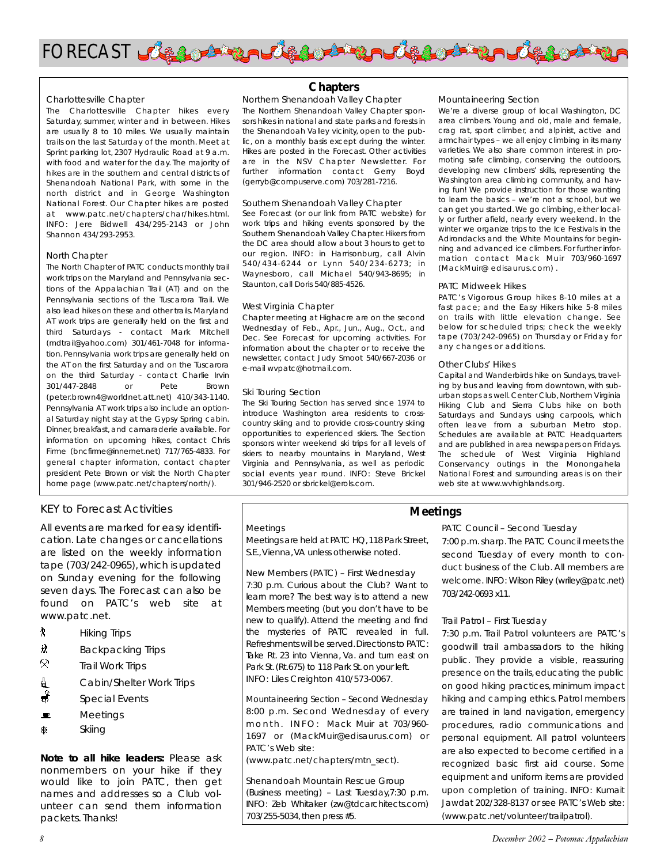

#### Charlottesville Chapter

The Charlottesville Chapter hikes every Saturday, summer, winter and in between. Hikes are usually 8 to 10 miles. We usually maintain trails on the last Saturday of the month. Meet at Sprint parking lot, 2307 Hydraulic Road at 9 a.m. with food and water for the day. The majority of hikes are in the southern and central districts of Shenandoah National Park, with some in the north district and in George Washington National Forest. Our Chapter hikes are posted at www.patc.net/chapters/char/hikes.html. INFO: Jere Bidwell 434/295-2143 or John Shannon 434/293-2953.

#### North Chapter

The North Chapter of PATC conducts monthly trail work trips on the Maryland and Pennsylvania sections of the Appalachian Trail (AT) and on the Pennsylvania sections of the Tuscarora Trail. We also lead hikes on these and other trails. Maryland AT work trips are generally held on the first and third Saturdays - contact Mark Mitchell (mdtrail@yahoo.com) 301/461-7048 for information. Pennsylvania work trips are generally held on the AT on the first Saturday and on the Tuscarora on the third Saturday - contact Charlie Irvin 301/447-2848 or Pete Brown (peter.brown4@worldnet.att.net) 410/343-1140. Pennsylvania AT work trips also include an optional Saturday night stay at the Gypsy Spring cabin. Dinner, breakfast, and camaraderie available. For information on upcoming hikes, contact Chris Firme (bncfirme@innernet.net) 717/765-4833. For general chapter information, contact chapter president Pete Brown or visit the North Chapter home page (www.patc.net/chapters/north/).

#### KEY to Forecast Activities

All events are marked for easy identification. Late changes or cancellations are listed on the weekly information tape (703/242-0965), which is updated on Sunday evening for the following seven days. The Forecast can also be found on PATC's web site at www.patc.net.

- *A* Hiking Trips
- <u> $\frac{1}{10}$  Backpacking</u> Trips
- $\boldsymbol{\triangledown}$ Trail Work Trips
- **△** Cabin/Shelter Work Trips
- $\frac{1}{\sqrt{2}}$  Special Events
- $\blacksquare$  Meetings
- ASkiing

*Note to all hike leaders:* Please ask nonmembers on your hike if they would like to join PATC, then get names and addresses so a Club volunteer can send them information packets. Thanks!

### **Chapters**

Northern Shenandoah Valley Chapter The Northern Shenandoah Valley Chapter sponsors hikes in national and state parks and forests in the Shenandoah Valley vicinity, open to the public, on a monthly basis except during the winter. Hikes are posted in the Forecast. Other activities are in the NSV Chapter Newsletter. For further information contact Gerry Boyd (gerryb@compuserve.com) 703/281-7216.

#### Southern Shenandoah Valley Chapter

See Forecast (or our link from PATC website) for work trips and hiking events sponsored by the Southern Shenandoah Valley Chapter. Hikers from the DC area should allow about 3 hours to get to our region. INFO: in Harrisonburg, call Alvin 540/434-6244 or Lynn 540/234-6273; in Waynesboro, call Michael 540/943-8695; in Staunton, call Doris 540/885-4526.

#### West Virginia Chapter

Chapter meeting at Highacre are on the second Wednesday of Feb., Apr., Jun., Aug., Oct., and Dec. See Forecast for upcoming activities. For information about the chapter or to receive the newsletter, contact Judy Smoot 540/667-2036 or e-mail wvpatc@hotmail.com.

#### Ski Touring Section

The Ski Touring Section has served since 1974 to introduce Washington area residents to crosscountry skiing and to provide cross-country skiing opportunities to experienced skiers. The Section sponsors winter weekend ski trips for all levels of skiers to nearby mountains in Maryland, West Virginia and Pennsylvania, as well as periodic social events year round. INFO: Steve Brickel 301/946-2520 or sbrickel@erols.com.

#### Mountaineering Section

We're a diverse group of local Washington, DC area climbers. Young and old, male and female, crag rat, sport climber, and alpinist, active and armchair types – we all enjoy climbing in its many varieties. We also share common interest in promoting safe climbing, conserving the outdoors, developing new climbers' skills, representing the Washington area climbing community, and having fun! We provide instruction for those wanting to learn the basics – we're not a school, but we can get you started. We go climbing, either locally or further afield, nearly every weekend. In the winter we organize trips to the Ice Festivals in the Adirondacks and the White Mountains for beginning and advanced ice climbers. For further information contact Mack Muir 703/960-1697 (MackMuir@ edisaurus.com) .

#### PATC Midweek Hikes

PATC's Vigorous Group hikes 8-10 miles at a fast pace; and the Easy Hikers hike 5-8 miles on trails with little elevation change. See below for scheduled trips; check the weekly tape (703/242-0965) on Thursday or Friday for any changes or additions.

#### Other Clubs' Hikes

Capital and Wanderbirds hike on Sundays, traveling by bus and leaving from downtown, with suburban stops as well. Center Club, Northern Virginia Hiking Club and Sierra Clubs hike on both Saturdays and Sundays using carpools, which often leave from a suburban Metro stop. Schedules are available at PATC Headquarters and are published in area newspapers on Fridays. The schedule of West Virginia Highland Conservancy outings in the Monongahela National Forest and surrounding areas is on their web site at www.wvhighlands.org.

#### Meetings

Meetings are held at PATC HQ,118 Park Street, S.E.,Vienna,VA unless otherwise noted.

New Members (PATC) – First Wednesday 7:30 p.m. Curious about the Club? Want to learn more? The best way is to attend a new Members meeting (but you don't have to be new to qualify). Attend the meeting and find the mysteries of PATC revealed in full. Refreshments will be served.Directions to PATC: Take Rt. 23 into Vienna, Va. and turn east on Park St. (Rt.675) to 118 Park St. on your left. INFO: Liles Creighton 410/573-0067.

Mountaineering Section – Second Wednesday 8:00 p.m. Second Wednesday of every m o n t h . INFO: Mack Muir at 703/960-1697 or (MackMuir@edisaurus.com) or PATC's Web site:

(www.patc.net/chapters/mtn\_sect).

Shenandoah Mountain Rescue Group (Business meeting) – Last Tuesday,7:30 p.m. INFO: Zeb Whitaker (zw@tdcarchitects.com) 703/255-5034, then press #5.

### **Meetings**

PATC Council – Second Tuesday

7:00 p.m.sharp.The PATC Council meets the second Tuesday of every month to conduct business of the Club. All members are welcome. INFO: Wilson Riley (wriley@patc.net) 703/242-0693 x11.

#### Trail Patrol – First Tuesday

7:30 p.m. Trail Patrol volunteers are PATC's goodwill trail ambassadors to the hiking public. They provide a visible, reassuring presence on the trails, educating the public on good hiking practices, minimum impact hiking and camping ethics. Patrol members are trained in land navigation, emergency procedures, radio communications and personal equipment. All patrol volunteers are also expected to become certified in a recognized basic first aid course. Some equipment and uniform items are provided upon completion of training. INFO: Kumait Jawdat 202/328-8137 or see PATC's Web site: (www.patc.net/volunteer/trailpatrol).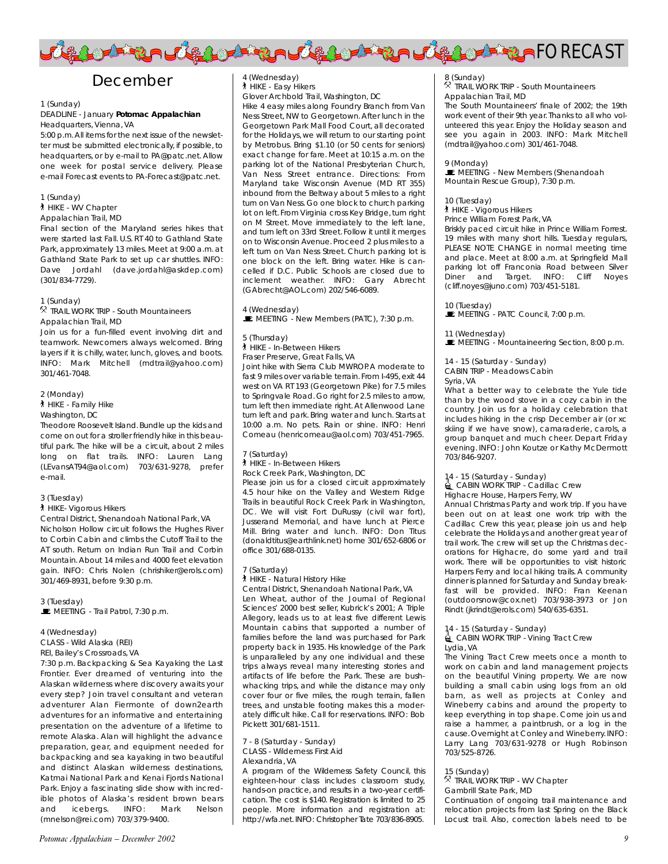

# December

#### 1 (Sunday)

#### DEADLINE - January *Potomac Appalachian* Headquarters, Vienna, VA

5:00 p.m.All items for the next issue of the newsletter must be submitted electronically, if possible, to headquarters, or by e-mail to PA@patc.net. Allow one week for postal service delivery. Please e-mail Forecast events to PA-Forecast@patc.net.

1 (Sunday)

` HIKE - WV Chapter

Appalachian Trail, MD

Final section of the Maryland series hikes that were started last Fall. U.S. RT 40 to Gathland State Park, approximately 13 miles. Meet at 9:00 a.m. at Gathland State Park to set up car shuttles. INFO: Dave Jordahl (dave.jordahl@askdep.com) (301/834-7729).

#### 1 (Sunday)

. (Sanddy)<br><sup>®</sup> TRAIL WORK TRIP - South Mountaineers Appalachian Trail, MD

Join us for a fun-filled event involving dirt and teamwork. Newcomers always welcomed. Bring layers if it is chilly, water, lunch, gloves, and boots. INFO: Mark Mitchell (mdtrail@yahoo.com) 301/461-7048.

#### 2 (Monday)

` HIKE - Family Hike

Washington, DC

Theodore Roosevelt Island. Bundle up the kids and come on out for a stroller friendly hike in this beautiful park. The hike will be a circuit, about 2 miles long on flat trails. INFO: Lauren Lang (LEvansAT94@aol.com) 703/631-9278, prefer e-mail.

#### 3 (Tuesday)

#### ` HIKE- Vigorous Hikers

Central District, Shenandoah National Park, VA Nicholson Hollow circuit follows the Hughes River to Corbin Cabin and climbs the Cutoff Trail to the AT south. Return on Indian Run Trail and Corbin Mountain. About 14 miles and 4000 feet elevation gain. INFO: Chris Nolen (chrishiker@erols.com) 301/469-8931, before 9:30 p.m.

3 (Tuesday)  $\blacksquare$  MEETING - Trail Patrol, 7:30 p.m.

4 (Wednesday)

CLASS - Wild Alaska (REI)

REI, Bailey's Crossroads, VA

7:30 p.m. Backpacking & Sea Kayaking the Last Frontier. Ever dreamed of venturing into the Alaskan wilderness where discovery awaits your every step? Join travel consultant and veteran adventurer Alan Fiermonte of down2earth adventures for an informative and entertaining presentation on the adventure of a lifetime to remote Alaska. Alan will highlight the advance preparation, gear, and equipment needed for backpacking and sea kayaking in two beautiful and distinct Alaskan wilderness destinations, Katmai National Park and Kenai Fjords National Park. Enjoy a fascinating slide show with incredible photos of Alaska's resident brown bears and icebergs. INFO: Mark Nelson (mnelson@rei.com) 703/379-9400.

### 4 (Wednesday)

` HIKE - Easy Hikers

Glover Archbold Trail, Washington, DC Hike 4 easy miles along Foundry Branch from Van Ness Street, NW to Georgetown. After lunch in the Georgetown Park Mall Food Court, all decorated for the Holidays, we will return to our starting point by Metrobus. Bring \$1.10 (or 50 cents for seniors) exact change for fare. Meet at 10:15 a.m. on the parking lot of the National Presbyterian Church, Van Ness Street entrance. Directions: From Maryland take Wisconsin Avenue (MD RT 355) inbound from the Beltway about 5 miles to a right turn on Van Ness. Go one block to church parking lot on left. From Virginia cross Key Bridge, turn right on M Street. Move immediately to the left lane, and turn left on 33rd Street. Follow it until it merges on to Wisconsin Avenue. Proceed 2 plus miles to a left turn on Van Ness Street. Church parking lot is one block on the left. Bring water. Hike is cancelled if D.C. Public Schools are closed due to inclement weather. INFO: Gary Abrecht (GAbrecht@AOL.com) 202/546-6089.

4 (Wednesday)

 $\blacksquare$  MEETING - New Members (PATC), 7:30 p.m.

#### 5 (Thursday)

` HIKE - In-Between Hikers

Fraser Preserve, Great Falls, VA

Joint hike with Sierra Club MWROP. A moderate to fast 9 miles over variable terrain. From I-495, exit 44 west on VA RT 193 (Georgetown Pike) for 7.5 miles to Springvale Road. Go right for 2.5 miles to arrow, turn left then immediate right. At Allenwood Lane turn left and park. Bring water and lunch. Starts at 10:00 a.m. No pets. Rain or shine. INFO: Henri Comeau (henricomeau@aol.com) 703/451-7965.

#### 7 (Saturday)

` HIKE - In-Between Hikers

Rock Creek Park, Washington, DC

Please join us for a closed circuit approximately 4.5 hour hike on the Valley and Western Ridge Trails in beautiful Rock Creek Park in Washington, DC. We will visit Fort DuRussy (civil war fort), Jusserand Memorial, and have lunch at Pierce Mill. Bring water and lunch. INFO: Don Titus (donaldtitus@earthlink.net) home 301/652-6806 or office 301/688-0135.

#### 7 (Saturday)

` HIKE - Natural History Hike

Central District, Shenandoah National Park, VA Len Wheat, author of the Journal of Regional Sciences' 2000 best seller, *Kubrick's 2001; A Triple Allegory*, leads us to at least five different Lewis Mountain cabins that supported a number of families before the land was purchased for Park property back in 1935. His knowledge of the Park is unparalleled by any one individual and these trips always reveal many interesting stories and artifacts of life before the Park. These are bushwhacking trips, and while the distance may only cover four or five miles, the rough terrain, fallen trees, and unstable footing makes this a moderately difficult hike. Call for reservations. INFO: Bob Pickett 301/681-1511.

#### 7 - 8 (Saturday - Sunday) CLASS - Wilderness First Aid Alexandria, VA

A program of the Wilderness Safety Council, this eighteen-hour class includes classroom study, hands-on practice, and results in a two-year certification. The cost is \$140. Registration is limited to 25 people. More information and registration at: http://wfa.net. INFO: Christopher Tate 703/836-8905.

### 8 (Sunday)

o (sanday)<br><sup>R</sup> TRAIL WORK TRIP - South Mountaineers Appalachian Trail, MD

The South Mountaineers' finale of 2002; the 19th work event of their 9th year. Thanks to all who volunteered this year. Enjoy the Holiday season and see you again in 2003. INFO: Mark Mitchell (mdtrail@yahoo.com) 301/461-7048.

#### 9 (Monday)

 $\blacksquare$  MEETING - New Members (Shenandoah Mountain Rescue Group), 7:30 p.m.

#### 10 (Tuesday)

**A** HIKE - Vigorous Hikers

#### Prince William Forest Park, VA

Briskly paced circuit hike in Prince William Forrest. 19 miles with many short hills. Tuesday regulars, PLEASE NOTE CHANGE in normal meeting time and place. Meet at 8:00 a.m. at Springfield Mall parking lot off Franconia Road between Silver Diner and Target. INFO: Cliff Noyes (cliff.noyes@juno.com) 703/451-5181.

#### 10 (Tuesday)

 $\mathbb E$  MEETING - PATC Council, 7:00 p.m.

#### 11 (Wednesday)

**WEETING - Mountaineering Section, 8:00 p.m.** 

14 - 15 (Saturday - Sunday)

CABIN TRIP - Meadows Cabin

#### Syria, VA

What a better way to celebrate the Yule tide than by the wood stove in a cozy cabin in the country. Join us for a holiday celebration that includes hiking in the crisp December air (or xc skiing if we have snow), camaraderie, carols, a group banquet and much cheer. Depart Friday evening. INFO: John Koutze or Kathy McDermott 703/846-9207.

14 - 15 (Saturday - Sunday)<br>■ CABIN WORK TRIP - Cadillac Crew

Highacre House, Harpers Ferry, WV

Annual Christmas Party and work trip. If you have been out on at least one work trip with the Cadillac Crew this year, please join us and help celebrate the Holidays and another great year of trail work. The crew will set up the Christmas decorations for Highacre, do some yard and trail work. There will be opportunities to visit historic Harpers Ferry and local hiking trails. A community dinner is planned for Saturday and Sunday breakfast will be provided. INFO: Fran Keenan (outdoorsnow@cox.net) 703/938-3973 or Jon Rindt (jkrindt@erols.com) 540/635-6351.

14 - 15 (Saturday - Sunday)<br>■ CABIN WORK TRIP - Vining Tract Crew Lydia, VA

The Vining Tract Crew meets once a month to work on cabin and land management projects on the beautiful Vining property. We are now building a small cabin using logs from an old barn, as well as projects at Conley and Wineberry cabins and around the property to keep everything in top shape. Come join us and raise a hammer, a paintbrush, or a log in the cause. Overnight at Conley and Wineberry. INFO: Larry Lang 703/631-9278 or Hugh Robinson 703/525-8726.

15 (Sunday) . TRAIL WORK TRIP - WV Chapter Gambrill State Park, MD

Continuation of ongoing trail maintenance and relocation projects from last Spring on the Black Locust trail. Also, correction labels need to be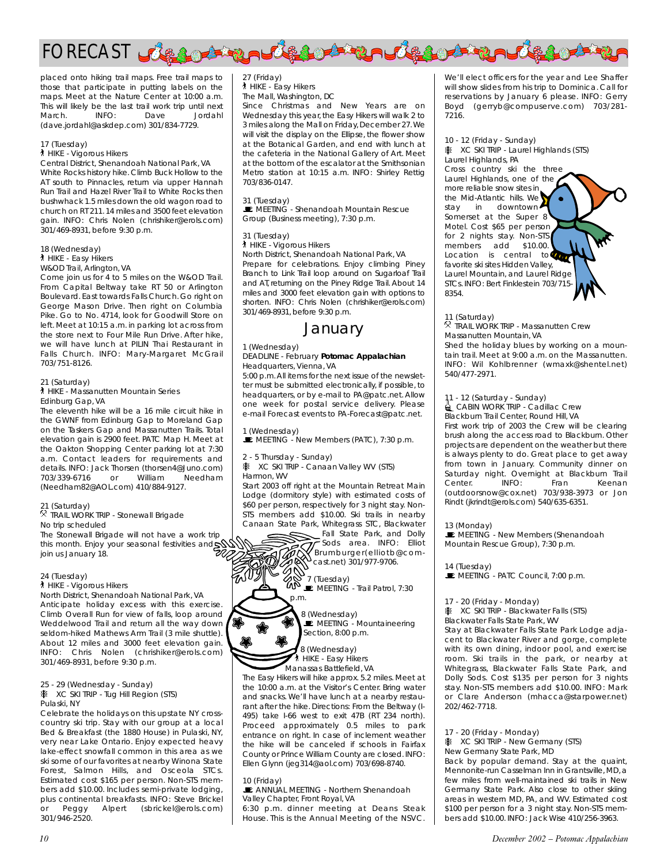

placed onto hiking trail maps. Free trail maps to those that participate in putting labels on the maps. Meet at the Nature Center at 10:00 a.m. This will likely be the last trail work trip until next<br>March. INFO: Dave Jordahl March. INFO: Dave Jordahl (dave.jordahl@askdep.com) 301/834-7729.

#### 17 (Tuesday)

**A** HIKE - Vigorous Hikers

Central District, Shenandoah National Park, VA White Rocks history hike. Climb Buck Hollow to the AT south to Pinnacles, return via upper Hannah Run Trail and Hazel River Trail to White Rocks then bushwhack 1.5 miles down the old wagon road to church on RT 211. 14 miles and 3500 feet elevation gain. INFO: Chris Nolen (chrishiker@erols.com) 301/469-8931, before 9:30 p.m.

#### 18 (Wednesday)

` HIKE - Easy Hikers

W&OD Trail, Arlington, VA

Come join us for 4 to 5 miles on the W&OD Trail. From Capital Beltway take RT 50 or Arlington Boulevard. East towards Falls Church. Go right on George Mason Drive. Then right on Columbia Pike. Go to No. 4714, look for Goodwill Store on left. Meet at 10:15 a.m. in parking lot across from the store next to Four Mile Run Drive. After hike, we will have lunch at PILIN Thai Restaurant in Falls Church. INFO: Mary-Margaret McGrail 703/751-8126.

#### 21 (Saturday)

` HIKE - Massanutten Mountain Series Edinburg Gap, VA

The eleventh hike will be a 16 mile circuit hike in the GWNF from Edinburg Gap to Moreland Gap on the Taskers Gap and Massanutten Trails. Total elevation gain is 2900 feet. PATC Map H. Meet at the Oakton Shopping Center parking lot at 7:30 a.m. Contact leaders for requirements and details. INFO: Jack Thorsen (thorsen4@Juno.com) 703/339-6716 or William Needham (Needham82@AOL.com) 410/884-9127.

#### 21 (Saturday)

21 (Saturday)<br><sup>R</sup> TRAIL WORK TRIP - Stonewall Brigade No trip scheduled

The Stonewall Brigade will not have a work trip this month. Enjoy your seasonal festivities and join us January 18.

#### 24 (Tuesday)

**A** HIKE - Vigorous Hikers

North District, Shenandoah National Park, VA Anticipate holiday excess with this exercise. Climb Overall Run for view of falls, loop around Weddelwood Trail and return all the way down seldom-hiked Mathews Arm Trail (3 mile shuttle). About 12 miles and 3000 feet elevation gain. INFO: Chris Nolen (chrishiker@erols.com) 301/469-8931, before 9:30 p.m.

#### 25 - 29 (Wednesday - Sunday)

25 - 29 (weanesday - sunday)<br>※ XC SKI TRIP - Tug Hill Region (STS) Pulaski, NY

Celebrate the holidays on this upstate NY crosscountry ski trip. Stay with our group at a local Bed & Breakfast (the 1880 House) in Pulaski, NY, very near Lake Ontario. Enjoy expected heavy lake-effect snowfall common in this area as we ski some of our favorites at nearby Winona State Forest, Salmon Hills, and Osceola STCs. Estimated cost \$165 per person. Non-STS members add \$10.00. Includes semi-private lodging, plus continental breakfasts. INFO: Steve Brickel or Peggy Alpert (sbrickel@erols.com) 301/946-2520.

#### 27 (Friday)

` HIKE - Easy Hikers The Mall, Washington, DC

Since Christmas and New Years are on Wednesday this year, the Easy Hikers will walk 2 to 3 miles along the Mall on Friday, December 27.We will visit the display on the Ellipse, the flower show at the Botanical Garden, and end with lunch at the cafeteria in the National Gallery of Art. Meet at the bottom of the escalator at the Smithsonian Metro station at 10:15 a.m. INFO: Shirley Rettig 703/836-0147.

#### 31 (Tuesday)

**WEETING - Shenandoah Mountain Rescue** Group (Business meeting), 7:30 p.m.

#### 31 (Tuesday)

**A** HIKE - Vigorous Hikers North District, Shenandoah National Park, VA Prepare for celebrations. Enjoy climbing Piney Branch to Link Trail loop around on Sugarloaf Trail and AT, returning on the Piney Ridge Trail. About 14 miles and 3000 feet elevation gain with options to shorten. INFO: Chris Nolen (chrishiker@erols.com)

# January

#### 1 (Wednesday)

301/469-8931, before 9:30 p.m.

#### DEADLINE - February *Potomac Appalachian* Headquarters, Vienna, VA

5:00 p.m.All items for the next issue of the newsletter must be submitted electronically, if possible, to headquarters, or by e-mail to PA@patc.net. Allow one week for postal service delivery. Please e-mail Forecast events to PA-Forecast@patc.net.

#### 1 (Wednesday)

MEETING - New Members (PATC), 7:30 p.m.

#### 2 - 5 Thursday - Sunday)

p.m.

w

z - 5 mursday - sunday)<br>※ XC SKI TRIP - Canaan Valley WV (STS) Harmon, WV

Start 2003 off right at the Mountain Retreat Main Lodge (dormitory style) with estimated costs of \$60 per person, respectively for 3 night stay. Non-STS members add \$10.00. Ski trails in nearby Canaan State Park, Whitegrass STC, Blackwater



 $\blacksquare$  MEETING - Trail Patrol, 7:30

8 (Wednesday) **MEETING - Mountaineering** Section, 8:00 p.m.

8 (Wednesday) ` HIKE - Easy Hikers Manassas Battlefield, VA

The Easy Hikers will hike approx. 5.2 miles. Meet at the 10:00 a.m. at the Visitor's Center. Bring water and snacks. We'll have lunch at a nearby restaurant after the hike. Directions: From the Beltway (I-495) take I-66 west to exit 47B (RT 234 north). Proceed approximately 0.5 miles to park entrance on right. In case of inclement weather the hike will be canceled if schools in Fairfax County or Prince William County are closed. INFO: Ellen Glynn (jeg314@aol.com) 703/698-8740.

#### 10 (Friday)

**E** ANNUAL MEETING - Northern Shenandoah Valley Chapter, Front Royal, VA

6:30 p.m. dinner meeting at Deans Steak House. This is the Annual Meeting of the NSVC.

We'll elect officers for the year and Lee Shaffer will show slides from his trip to Dominica. Call for reservations by January 6 please. INFO: Gerry Boyd (gerryb@compuserve.com) 703/281- 7216.

#### 10 - 12 (Friday - Sunday)

10 - 12 (Filday - Suriday)<br>※ XC SKI TRIP - Laurel Highlands (STS) Laurel Highlands, PA Cross country ski the three Laurel Highlands, one of the more reliable snow sites in the Mid-Atlantic hills. We stay in downtown Somerset at the Super 8 Motel. Cost \$65 per person for 2 nights stay. Non-STS members add \$10.00. Location is central to favorite ski sites Hidden Valley, Laurel Mountain, and Laurel Ridge STCs. INFO: Bert Finklestein 703/715- 8354.

11 (Saturday) . TRAIL WORK TRIP - Massanutten Crew

Massanutten Mountain, VA Shed the holiday blues by working on a mountain trail. Meet at 9:00 a.m. on the Massanutten. INFO: Wil Kohlbrenner (wmaxk@shentel.net) 540/477-2971.

11 - 12 (Saturday - Sunday)<br>■ CABIN WORK TRIP - Cadillac Crew Blackburn Trail Center, Round Hill, VA

First work trip of 2003 the Crew will be clearing brush along the access road to Blackburn. Other projects are dependent on the weather but there is always plenty to do. Great place to get away from town in January. Community dinner on Saturday night. Overnight at Blackburn Trail<br>Center. INFO: Fran Keenan INFO: Fran Keenan (outdoorsnow@cox.net) 703/938-3973 or Jon Rindt (jkrindt@erols.com) 540/635-6351.

13 (Monday)

**MEETING - New Members (Shenandoah** Mountain Rescue Group), 7:30 p.m.

14 (Tuesday)

 $\blacksquare$  MEETING - PATC Council, 7:00 p.m.

17 - 20 (Friday - Monday)

17 - 20 (Filday - Monday)<br>※ XC SKI TRIP - Blackwater Falls (STS)

Blackwater Falls State Park, WV

Stay at Blackwater Falls State Park Lodge adjacent to Blackwater River and gorge, complete with its own dining, indoor pool, and exercise room. Ski trails in the park, or nearby at Whitegrass, Blackwater Falls State Park, and Dolly Sods. Cost \$135 per person for 3 nights stay. Non-STS members add \$10.00. INFO: Mark or Clare Anderson (mhacca@starpower.net) 202/462-7718.

17 - 20 (Friday - Monday) A XC SKI TRIP - New Germany (STS)

New Germany State Park, MD

Back by popular demand. Stay at the quaint, Mennonite-run Casselman Inn in Grantsville, MD, a few miles from well-maintained ski trails in New Germany State Park. Also close to other skiing areas in western MD, PA, and WV. Estimated cost \$100 per person for a 3 night stay. Non-STS members add \$10.00. INFO: Jack Wise 410/256-3963.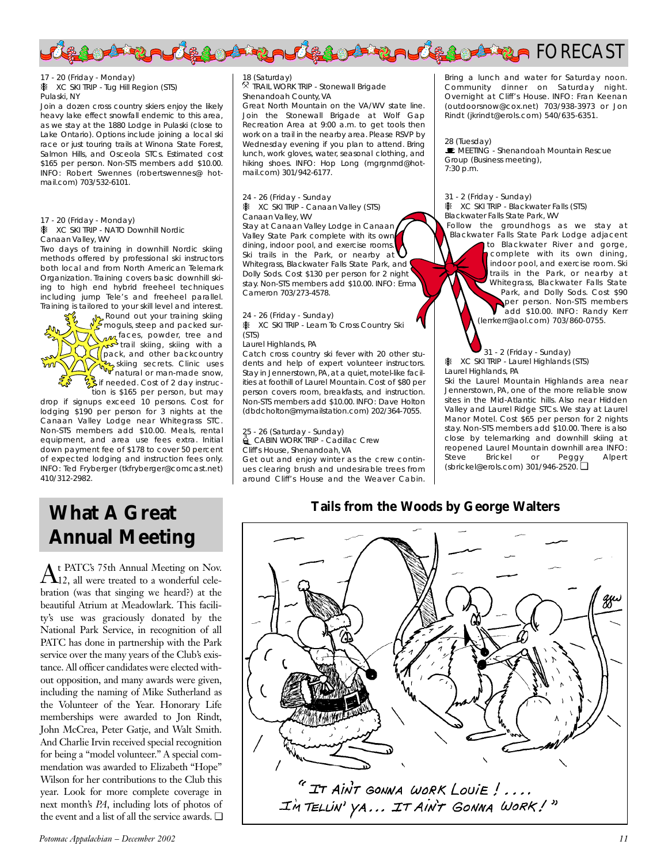

17 - 20 (Friday - Monday) 17 - 20 (Filday - Monday)<br>※ XC SKI TRIP - Tug Hill Region (STS) Pulaski, NY

Join a dozen cross country skiers enjoy the likely heavy lake effect snowfall endemic to this area, as we stay at the 1880 Lodge in Pulaski (close to Lake Ontario). Options include joining a local ski race or just touring trails at Winona State Forest, Salmon Hills, and Osceola STCs. Estimated cost \$165 per person. Non-STS members add \$10.00. INFO: Robert Swennes (robertswennes@ hotmail.com) 703/532-6101.

17 - 20 (Friday - Monday)

17 - 20 (Friday - Monday)<br>※ XC SKI TRIP - NATO Downhill Nordic Canaan Valley, WV

Two days of training in downhill Nordic skiing methods offered by professional ski instructors both local and from North American Telemark Organization. Training covers basic downhill skiing to high end hybrid freeheel techniques including jump Tele's and freeheel parallel. Training is tailored to your skill level and interest.

Round out your training skiing moguls, steep and packed surfaces, powder, tree and trail skiing, skiing with a **pack**, and other backcountry skiing secrets. Clinic uses natural or man-made snow,  $\frac{1}{2}$ if needed. Cost of 2 day instruction is \$165 per person, but may

drop if signups exceed 10 persons. Cost for lodging \$190 per person for 3 nights at the Canaan Valley Lodge near Whitegrass STC. Non-STS members add \$10.00. Meals, rental equipment, and area use fees extra. Initial down payment fee of \$178 to cover 50 percent of expected lodging and instruction fees only. INFO: Ted Fryberger (tkfryberger@comcast.net) 410/312-2982.

#### 18 (Saturday)

10 (saturday)<br><sup>R</sup> TRAIL WORK TRIP - Stonewall Brigade Shenandoah County, VA

Great North Mountain on the VA/WV state line. Join the Stonewall Brigade at Wolf Gap Recreation Area at 9:00 a.m. to get tools then work on a trail in the nearby area. Please RSVP by Wednesday evening if you plan to attend. Bring lunch, work gloves, water, seasonal clothing, and hiking shoes. INFO: Hop Long (mgrgnmd@hotmail.com) 301/942-6177.

#### 24 - 26 (Friday - Sunday

24 - 26 (Friday - Sunday<br>※ XC SKI TRIP - Canaan Valley (STS)

Canaan Valley, WV Stay at Canaan Valley Lodge in Canaan Valley State Park complete with its own dining, indoor pool, and exercise rooms. Ski trails in the Park, or nearby at Whitegrass, Blackwater Falls State Park, and Dolly Sods. Cost \$130 per person for 2 night stay. Non-STS members add \$10.00. INFO: Erma Cameron 703/273-4578.

24 - 26 (Friday - Sunday)

z4 - z6 (rhday - sunday)<br><mark>※ XC SKI TRIP - Learn To Cross Country S</mark>ki (STS)

#### Laurel Highlands, PA

Catch cross country ski fever with 20 other students and help of expert volunteer instructors. Stay in Jennerstown, PA, at a quiet, motel-like facilities at foothill of Laurel Mountain. Cost of \$80 per person covers room, breakfasts, and instruction. Non-STS members add \$10.00. INFO: Dave Holton (dbdcholton@mymailstation.com) 202/364-7055.

25 - 26 (Saturday - Sunday)<br>▒ CABIN WORK TRIP - Cadillac Crew

Cliff's House, Shenandoah, VA Get out and enjoy winter as the crew contin-

ues clearing brush and undesirable trees from around Cliff's House and the Weaver Cabin.

Bring a lunch and water for Saturday noon. Community dinner on Saturday night. Overnight at Cliff's House. INFO: Fran Keenan (outdoorsnow@cox.net) 703/938-3973 or Jon Rindt (jkrindt@erols.com) 540/635-6351.

#### 28 (Tuesday)

**E** MFFTING - Shenandoah Mountain Rescue Group (Business meeting), 7:30 p.m.

#### 31 - 2 (Friday - Sunday)

31 - 2 (Friday - Sunday)<br>※ XC SKI TRIP - Blackwater Falls (STS) Blackwater Falls State Park, WV

Follow the groundhogs as we stay at Blackwater Falls State Park Lodge adjacent to Blackwater River and gorge, complete with its own dining, indoor pool, and exercise room. Ski trails in the Park, or nearby at Whitegrass, Blackwater Falls State Park, and Dolly Sods. Cost \$90 per person. Non-STS members add \$10.00. INFO: Randy Kerr (lerrkerr@aol.com) 703/860-0755.

31 - 2 (Friday - Sunday) X C ST - 2 (Friday - Sunday)<br>Was C SKI TRIP - Laurel Highlands (STS) Laurel Highlands, PA

Ski the Laurel Mountain Highlands area near Jennerstown, PA, one of the more reliable snow sites in the Mid-Atlantic hills. Also near Hidden Valley and Laurel Ridge STCs. We stay at Laurel Manor Motel. Cost \$65 per person for 2 nights stay. Non-STS members add \$10.00. There is also close by telemarking and downhill skiing at reopened Laurel Mountain downhill area INFO:<br>Steve Brickel or Peggy Alpert Steve Brickel or Peggy Alpert (sbrickel@erols.com) 301/946-2520. ❏

# **Tails from the Woods by George Walters**

# **What A Great Annual Meeting**

 $\rm A$ t PATC's 75th Annual Meeting on Nov.<br>12, all were treated to a wonderful celebration (was that singing we heard?) at the beautiful Atrium at Meadowlark. This facility's use was graciously donated by the National Park Service, in recognition of all PATC has done in partnership with the Park service over the many years of the Club's existance. All officer candidates were elected without opposition, and many awards were given, including the naming of Mike Sutherland as the Volunteer of the Year. Honorary Life memberships were awarded to Jon Rindt, John McCrea, Peter Gatje, and Walt Smith. And Charlie Irvin received special recognition for being a "model volunteer." A special commendation was awarded to Elizabeth "Hope" Wilson for her contributions to the Club this year. Look for more complete coverage in next month's *PA*, including lots of photos of the event and a list of all the service awards. ❏

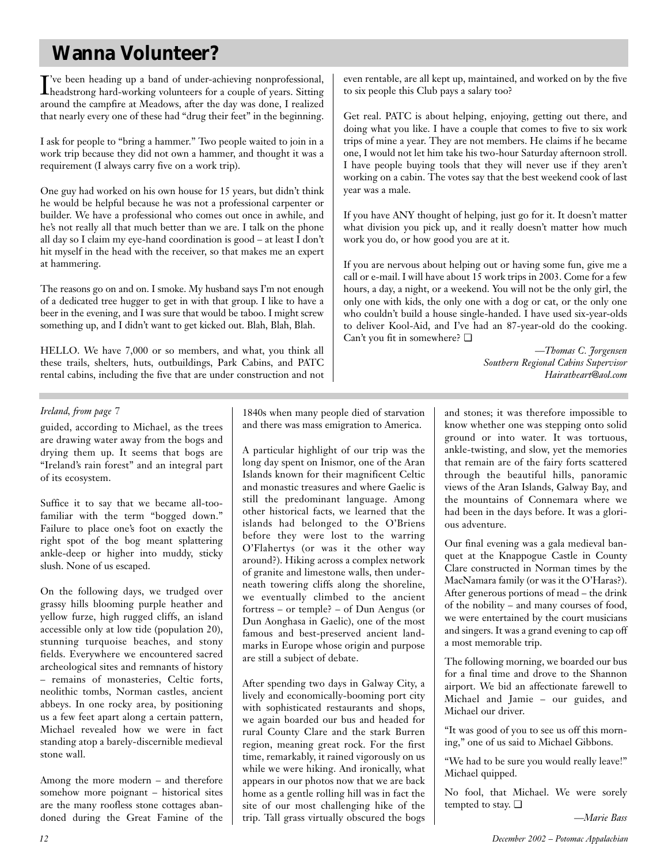# **Wanna Volunteer?**

I headstrong hard-working volunteers for a couple of years. Sitting 've been heading up a band of under-achieving nonprofessional, around the campfire at Meadows, after the day was done, I realized that nearly every one of these had "drug their feet" in the beginning.

I ask for people to "bring a hammer." Two people waited to join in a work trip because they did not own a hammer, and thought it was a requirement (I always carry five on a work trip).

One guy had worked on his own house for 15 years, but didn't think he would be helpful because he was not a professional carpenter or builder. We have a professional who comes out once in awhile, and he's not really all that much better than we are. I talk on the phone all day so I claim my eye-hand coordination is good – at least  $\overline{I}$  don't hit myself in the head with the receiver, so that makes me an expert at hammering.

The reasons go on and on. I smoke. My husband says I'm not enough of a dedicated tree hugger to get in with that group. I like to have a beer in the evening, and I was sure that would be taboo. I might screw something up, and I didn't want to get kicked out. Blah, Blah, Blah.

HELLO. We have 7,000 or so members, and what, you think all these trails, shelters, huts, outbuildings, Park Cabins, and PATC rental cabins, including the five that are under construction and not even rentable, are all kept up, maintained, and worked on by the five to six people this Club pays a salary too?

Get real. PATC is about helping, enjoying, getting out there, and doing what you like. I have a couple that comes to five to six work trips of mine a year. They are not members. He claims if he became one, I would not let him take his two-hour Saturday afternoon stroll. I have people buying tools that they will never use if they aren't working on a cabin. The votes say that the best weekend cook of last year was a male.

If you have ANY thought of helping, just go for it. It doesn't matter what division you pick up, and it really doesn't matter how much work you do, or how good you are at it.

If you are nervous about helping out or having some fun, give me a call or e-mail. I will have about 15 work trips in 2003. Come for a few hours, a day, a night, or a weekend. You will not be the only girl, the only one with kids, the only one with a dog or cat, or the only one who couldn't build a house single-handed. I have used six-year-olds to deliver Kool-Aid, and I've had an 87-year-old do the cooking. Can't you fit in somewhere? ❏

> *—Thomas C. Jorgensen Southern Regional Cabins Supervisor Hairatheart@aol.com*

### *Ireland, from page 7*

guided, according to Michael, as the trees are drawing water away from the bogs and drying them up. It seems that bogs are "Ireland's rain forest" and an integral part of its ecosystem.

Suffice it to say that we became all-toofamiliar with the term "bogged down." Failure to place one's foot on exactly the right spot of the bog meant splattering ankle-deep or higher into muddy, sticky slush. None of us escaped.

On the following days, we trudged over grassy hills blooming purple heather and yellow furze, high rugged cliffs, an island accessible only at low tide (population 20), stunning turquoise beaches, and stony fields. Everywhere we encountered sacred archeological sites and remnants of history – remains of monasteries, Celtic forts, neolithic tombs, Norman castles, ancient abbeys. In one rocky area, by positioning us a few feet apart along a certain pattern, Michael revealed how we were in fact standing atop a barely-discernible medieval stone wall.

Among the more modern – and therefore somehow more poignant – historical sites are the many roofless stone cottages abandoned during the Great Famine of the 1840s when many people died of starvation and there was mass emigration to America.

A particular highlight of our trip was the long day spent on Inismor, one of the Aran Islands known for their magnificent Celtic and monastic treasures and where Gaelic is still the predominant language. Among other historical facts, we learned that the islands had belonged to the O'Briens before they were lost to the warring O'Flahertys (or was it the other way around?). Hiking across a complex network of granite and limestone walls, then underneath towering cliffs along the shoreline, we eventually climbed to the ancient fortress – or temple? – of Dun Aengus (or Dun Aonghasa in Gaelic), one of the most famous and best-preserved ancient landmarks in Europe whose origin and purpose are still a subject of debate.

After spending two days in Galway City, a lively and economically-booming port city with sophisticated restaurants and shops, we again boarded our bus and headed for rural County Clare and the stark Burren region, meaning great rock. For the first time, remarkably, it rained vigorously on us while we were hiking. And ironically, what appears in our photos now that we are back home as a gentle rolling hill was in fact the site of our most challenging hike of the trip. Tall grass virtually obscured the bogs

and stones; it was therefore impossible to know whether one was stepping onto solid ground or into water. It was tortuous, ankle-twisting, and slow, yet the memories that remain are of the fairy forts scattered through the beautiful hills, panoramic views of the Aran Islands, Galway Bay, and the mountains of Connemara where we had been in the days before. It was a glorious adventure.

Our final evening was a gala medieval banquet at the Knappogue Castle in County Clare constructed in Norman times by the MacNamara family (or was it the O'Haras?). After generous portions of mead – the drink of the nobility – and many courses of food, we were entertained by the court musicians and singers. It was a grand evening to cap off a most memorable trip.

The following morning, we boarded our bus for a final time and drove to the Shannon airport. We bid an affectionate farewell to Michael and Jamie – our guides, and Michael our driver.

"It was good of you to see us off this morning," one of us said to Michael Gibbons.

"We had to be sure you would really leave!" Michael quipped.

No fool, that Michael. We were sorely tempted to stay. ❏

*—Marie Bass*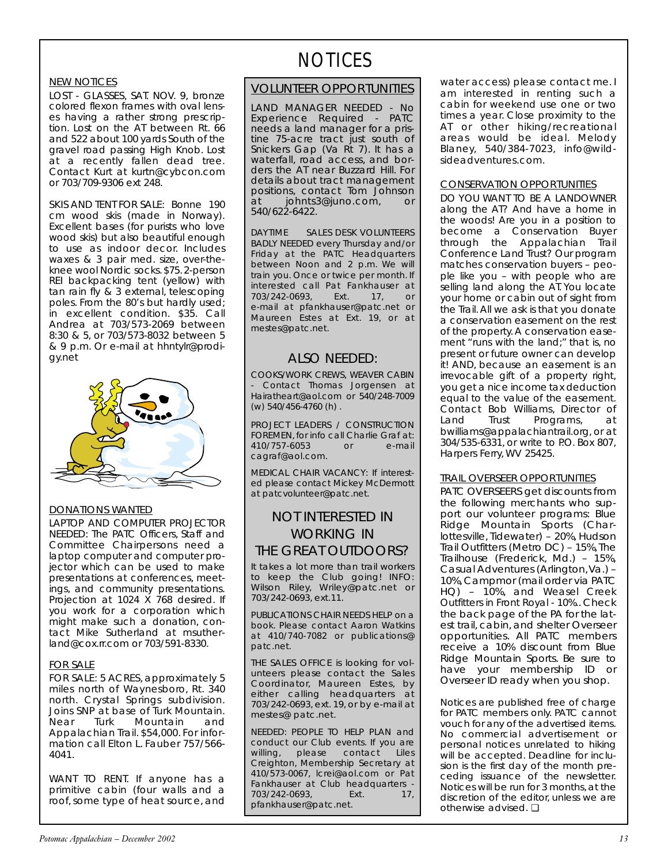### NEW NOTICES

LOST - GLASSES, SAT. NOV. 9, bronze colored flexon frames with oval lenses having a rather strong prescription. Lost on the AT between Rt. 66 and 522 about 100 yards South of the gravel road passing High Knob. Lost at a recently fallen dead tree. Contact Kurt at kurtn@cybcon.com or 703/709-9306 ext 248.

SKIS AND TENT FOR SALE: Bonne 190 cm wood skis (made in Norway). Excellent bases (for purists who love wood skis) but also beautiful enough to use as indoor decor. Includes waxes & 3 pair med. size, over-theknee wool Nordic socks.\$75.2-person REI backpacking tent (yellow) with tan rain fly & 3 external, telescoping poles. From the 80's but hardly used; in excellent condition. \$35. Call Andrea at 703/573-2069 between 8:30 & 5, or 703/573-8032 between 5 & 9 p.m. Or e-mail at hhntylr@prodigy.net



#### DONATIONS WANTED

LAPTOP AND COMPUTER PROJECTOR NEEDED: The PATC Officers, Staff and Committee Chairpersons need a laptop computer and computer projector which can be used to make presentations at conferences, meetings, and community presentations. Projection at 1024 X 768 desired. If you work for a corporation which might make such a donation, contact Mike Sutherland at msutherland@cox.rr.com or 703/591-8330.

#### FOR SALE

FOR SALE: 5 ACRES, approximately 5 miles north of Waynesboro, Rt. 340 north. Crystal Springs subdivision. Joins SNP at base of Turk Mountain. Near Turk Mountain and Appalachian Trail. \$54,000. For information call Elton L. Fauber 757/566- 4041.

WANT TO RENT. If anyone has a primitive cabin (four walls and a roof, some type of heat source, and

# **NOTICES**

### VOLUNTEER OPPORTUNITIES

LAND MANAGER NEEDED - No Experience Required - PATC needs a land manager for a pristine 75-acre tract just south of Snickers Gap (Va Rt 7). It has a waterfall, road access, and borders the AT near Buzzard Hill. For details about tract management positions, contact Tom Johnson at johnts3@juno.com, or 540/622-6422.

DAYTIME SALES DESK VOLUNTEERS BADLY NEEDED every Thursday and/or Friday at the PATC Headquarters between Noon and 2 p.m. We will train you. Once or twice per month. If interested call Pat Fankhauser at 703/242-0693, Ext. 17, or e-mail at pfankhauser@patc.net or Maureen Estes at Ext. 19, or at mestes@patc.net.

### ALSO NEEDED:

COOKS/WORK CREWS, WEAVER CABIN Contact Thomas Jorgensen at Hairatheart@aol.com or 540/248-7009 (w) 540/456-4760 (h) .

PROJECT LEADERS / CONSTRUCTION FOREMEN, for info call Charlie Graf at: 410/757-6053 or e-mail cagraf@aol.com.

MEDICAL CHAIR VACANCY: If interested please contact Mickey McDermott at patcvolunteer@patc.net.

# NOT INTERESTED IN WORKING IN THE GREAT OUTDOORS?

It takes a lot more than trail workers to keep the Club going! INFO: Wilson Riley, Wriley@patc.net or 703/242-0693, ext.11.

PUBLICATIONS CHAIR NEEDS HELP on a book. Please contact Aaron Watkins at 410/740-7082 or publications@ patc.net.

THE SALES OFFICE is looking for volunteers please contact the Sales Coordinator, Maureen Estes, by either calling headquarters at 703/242-0693, ext. 19, or by e-mail at mestes@ patc.net.

NEEDED: PEOPLE TO HELP PLAN and conduct our Club events. If you are willing, please contact Liles Creighton, Membership Secretary at 410/573-0067, lcrei@aol.com or Pat Fankhauser at Club headquarters - 703/242-0693, Ext. 17, pfankhauser@patc.net.

water access) please contact me. I am interested in renting such a cabin for weekend use one or two times a year. Close proximity to the AT or other hiking/recreational areas would be ideal. Melody Blaney, 540/384-7023, info@wildsideadventures.com.

### CONSERVATION OPPORTUNITIES

DO YOU WANT TO BE A LANDOWNER along the AT? And have a home in the woods! Are you in a position to become a Conservation Buyer through the Appalachian Trail Conference Land Trust? Our program matches conservation buyers – people like you – with people who are selling land along the AT. You locate your home or cabin out of sight from the Trail. All we ask is that you donate a conservation easement on the rest of the property. A conservation easement "runs with the land;" that is, no present or future owner can develop it! AND, because an easement is an irrevocable gift of a property right, you get a nice income tax deduction equal to the value of the easement. Contact Bob Williams, Director of Land Trust Programs, at bwilliams@appalachiantrail.org, or at 304/535-6331, or write to P.O. Box 807, Harpers Ferry, WV 25425.

#### TRAIL OVERSEER OPPORTUNITIES

PATC OVERSEERS get discounts from the following merchants who support our volunteer programs: Blue Ridge Mountain Sports (Charlottesville, Tidewater) – 20%, Hudson Trail Outfitters (Metro DC) – 15%,The Trailhouse (Frederick, Md.) – 15%, Casual Adventures (Arlington,Va.) – 10%,Campmor (mail order via PATC HQ) – 10%, and Weasel Creek Outfitters in Front Royal - 10%.. Check the back page of the *PA* for the latest trail, cabin, and shelter Overseer opportunities. All PATC members receive a 10% discount from Blue Ridge Mountain Sports. Be sure to have your membership ID or Overseer ID ready when you shop.

*Notices are published free of charge for PATC members only. PATC cannot vouch for any of the advertised items. No commercial advertisement or personal notices unrelated to hiking will be accepted. Deadline for inclusion is the first day of the month preceding issuance of the newsletter. Notices will be run for 3 months, at the discretion of the editor, unless we are otherwise advised.* ❏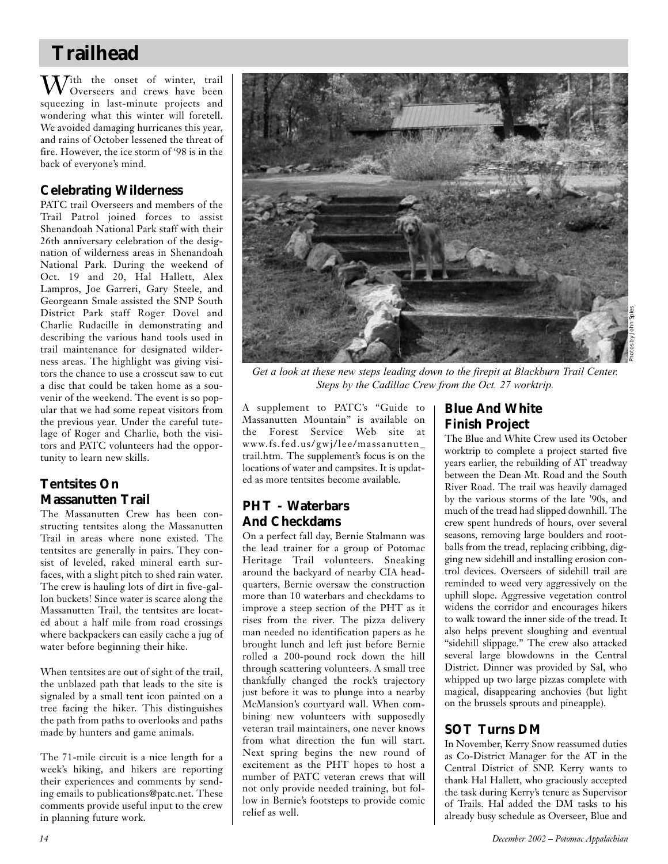# **Trailhead**

 $\Lambda$ *T*ith the onset of winter, trail Overseers and crews have been squeezing in last-minute projects and wondering what this winter will foretell. We avoided damaging hurricanes this year, and rains of October lessened the threat of fire. However, the ice storm of '98 is in the back of everyone's mind.

# **Celebrating Wilderness**

PATC trail Overseers and members of the Trail Patrol joined forces to assist Shenandoah National Park staff with their 26th anniversary celebration of the designation of wilderness areas in Shenandoah National Park. During the weekend of Oct. 19 and 20, Hal Hallett, Alex Lampros, Joe Garreri, Gary Steele, and Georgeann Smale assisted the SNP South District Park staff Roger Dovel and Charlie Rudacille in demonstrating and describing the various hand tools used in trail maintenance for designated wilderness areas. The highlight was giving visitors the chance to use a crosscut saw to cut a disc that could be taken home as a souvenir of the weekend. The event is so popular that we had some repeat visitors from the previous year. Under the careful tutelage of Roger and Charlie, both the visitors and PATC volunteers had the opportunity to learn new skills.

# **Tentsites On Massanutten Trail**

The Massanutten Crew has been constructing tentsites along the Massanutten Trail in areas where none existed. The tentsites are generally in pairs. They consist of leveled, raked mineral earth surfaces, with a slight pitch to shed rain water. The crew is hauling lots of dirt in five-gallon buckets! Since water is scarce along the Massanutten Trail, the tentsites are located about a half mile from road crossings where backpackers can easily cache a jug of water before beginning their hike.

When tentsites are out of sight of the trail, the unblazed path that leads to the site is signaled by a small tent icon painted on a tree facing the hiker. This distinguishes the path from paths to overlooks and paths made by hunters and game animals.

The 71-mile circuit is a nice length for a week's hiking, and hikers are reporting their experiences and comments by sending emails to publications@patc.net. These comments provide useful input to the crew in planning future work.



*Get a look at these new steps leading down to the firepit at Blackburn Trail Center. Steps by the Cadillac Crew from the Oct. 27 worktrip.*

A supplement to PATC's "Guide to Massanutten Mountain" is available on the Forest Service Web site at www.fs.fed.us/gwj/lee/massanutten\_ trail.htm. The supplement's focus is on the locations of water and campsites. It is updated as more tentsites become available.

# **PHT - Waterbars And Checkdams**

On a perfect fall day, Bernie Stalmann was the lead trainer for a group of Potomac Heritage Trail volunteers. Sneaking around the backyard of nearby CIA headquarters, Bernie oversaw the construction more than 10 waterbars and checkdams to improve a steep section of the PHT as it rises from the river. The pizza delivery man needed no identification papers as he brought lunch and left just before Bernie rolled a 200-pound rock down the hill through scattering volunteers. A small tree thankfully changed the rock's trajectory just before it was to plunge into a nearby McMansion's courtyard wall. When combining new volunteers with supposedly veteran trail maintainers, one never knows from what direction the fun will start. Next spring begins the new round of excitement as the PHT hopes to host a number of PATC veteran crews that will not only provide needed training, but follow in Bernie's footsteps to provide comic relief as well.

# **Blue And White Finish Project**

The Blue and White Crew used its October worktrip to complete a project started five years earlier, the rebuilding of AT treadway between the Dean Mt. Road and the South River Road. The trail was heavily damaged by the various storms of the late '90s, and much of the tread had slipped downhill. The crew spent hundreds of hours, over several seasons, removing large boulders and rootballs from the tread, replacing cribbing, digging new sidehill and installing erosion control devices. Overseers of sidehill trail are reminded to weed very aggressively on the uphill slope. Aggressive vegetation control widens the corridor and encourages hikers to walk toward the inner side of the tread. It also helps prevent sloughing and eventual "sidehill slippage." The crew also attacked several large blowdowns in the Central District. Dinner was provided by Sal, who whipped up two large pizzas complete with magical, disappearing anchovies (but light on the brussels sprouts and pineapple).

# **SOT Turns DM**

In November, Kerry Snow reassumed duties as Co-District Manager for the AT in the Central District of SNP. Kerry wants to thank Hal Hallett, who graciously accepted the task during Kerry's tenure as Supervisor of Trails. Hal added the DM tasks to his already busy schedule as Overseer, Blue and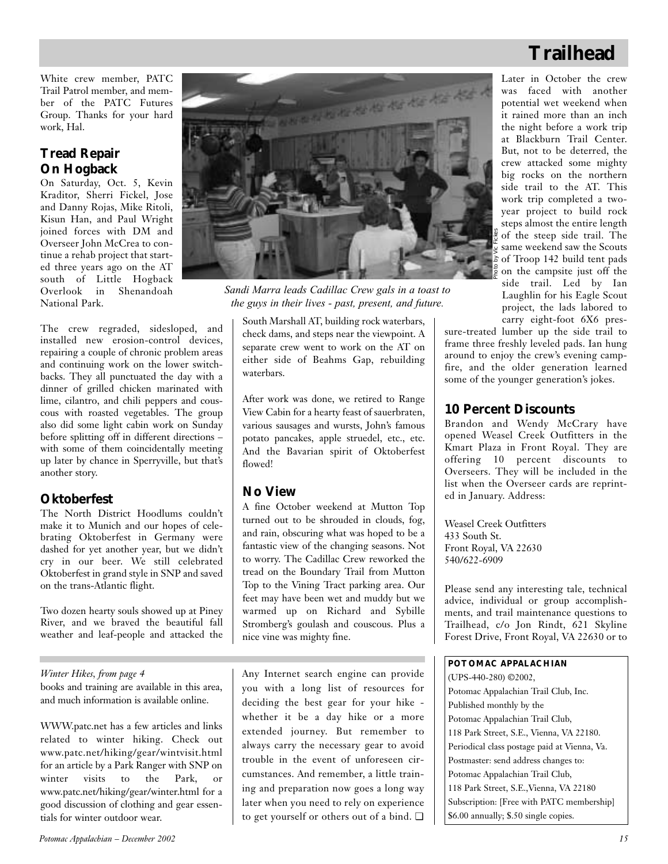# **Trailhead**

White crew member, PATC Trail Patrol member, and member of the PATC Futures Group. Thanks for your hard work, Hal.

# **Tread Repair On Hogback**

On Saturday, Oct. 5, Kevin Kraditor, Sherri Fickel, Jose and Danny Rojas, Mike Ritoli, Kisun Han, and Paul Wright joined forces with DM and Overseer John McCrea to continue a rehab project that started three years ago on the AT south of Little Hogback Overlook in Shenandoah National Park.

The crew regraded, sidesloped, and installed new erosion-control devices, repairing a couple of chronic problem areas and continuing work on the lower switchbacks. They all punctuated the day with a dinner of grilled chicken marinated with lime, cilantro, and chili peppers and couscous with roasted vegetables. The group also did some light cabin work on Sunday before splitting off in different directions – with some of them coincidentally meeting up later by chance in Sperryville, but that's another story.

# **Oktoberfest**

The North District Hoodlums couldn't make it to Munich and our hopes of celebrating Oktoberfest in Germany were dashed for yet another year, but we didn't cry in our beer. We still celebrated Oktoberfest in grand style in SNP and saved on the trans-Atlantic flight.

Two dozen hearty souls showed up at Piney River, and we braved the beautiful fall weather and leaf-people and attacked the

### *Winter Hikes, from page 4*

books and training are available in this area, and much information is available online.

WWW.patc.net has a few articles and links related to winter hiking. Check out www.patc.net/hiking/gear/wintvisit.html for an article by a Park Ranger with SNP on winter visits to the Park, or www.patc.net/hiking/gear/winter.html for a good discussion of clothing and gear essentials for winter outdoor wear.



*Sandi Marra leads Cadillac Crew gals in a toast to the guys in their lives - past, present, and future.*

South Marshall AT, building rock waterbars, check dams, and steps near the viewpoint. A separate crew went to work on the AT on either side of Beahms Gap, rebuilding waterbars.

After work was done, we retired to Range View Cabin for a hearty feast of sauerbraten, various sausages and wursts, John's famous potato pancakes, apple struedel, etc., etc. And the Bavarian spirit of Oktoberfest flowed!

## **No View**

A fine October weekend at Mutton Top turned out to be shrouded in clouds, fog, and rain, obscuring what was hoped to be a fantastic view of the changing seasons. Not to worry. The Cadillac Crew reworked the tread on the Boundary Trail from Mutton Top to the Vining Tract parking area. Our feet may have been wet and muddy but we warmed up on Richard and Sybille Stromberg's goulash and couscous. Plus a nice vine was mighty fine.

Any Internet search engine can provide you with a long list of resources for deciding the best gear for your hike whether it be a day hike or a more extended journey. But remember to always carry the necessary gear to avoid trouble in the event of unforeseen circumstances. And remember, a little training and preparation now goes a long way later when you need to rely on experience to get yourself or others out of a bind. ❏

Later in October the crew was faced with another potential wet weekend when it rained more than an inch the night before a work trip at Blackburn Trail Center. But, not to be deterred, the crew attacked some mighty big rocks on the northern side trail to the AT. This work trip completed a twoyear project to build rock steps almost the entire length of the steep side trail. The same weekend saw the Scouts of Troop 142 build tent pads on the campsite just off the side trail. Led by Ian Laughlin for his Eagle Scout project, the lads labored to carry eight-foot 6X6 pres-

sure-treated lumber up the side trail to frame three freshly leveled pads. Ian hung around to enjoy the crew's evening campfire, and the older generation learned some of the younger generation's jokes.

## **10 Percent Discounts**

Brandon and Wendy McCrary have opened Weasel Creek Outfitters in the Kmart Plaza in Front Royal. They are offering 10 percent discounts to Overseers. They will be included in the list when the Overseer cards are reprinted in January. Address:

Weasel Creek Outfitters 433 South St. Front Royal, VA 22630 540/622-6909

Please send any interesting tale, technical advice, individual or group accomplishments, and trail maintenance questions to Trailhead, c/o Jon Rindt, 621 Skyline Forest Drive, Front Royal, VA 22630 or to

### **POTOMAC APPALACHIAN**

(UPS-440-280) ©2002, Potomac Appalachian Trail Club, Inc. Published monthly by the Potomac Appalachian Trail Club, 118 Park Street, S.E., Vienna, VA 22180. Periodical class postage paid at Vienna, Va. Postmaster: send address changes to: Potomac Appalachian Trail Club, 118 Park Street, S.E.,Vienna, VA 22180 Subscription: [Free with PATC membership] \$6.00 annually; \$.50 single copies.